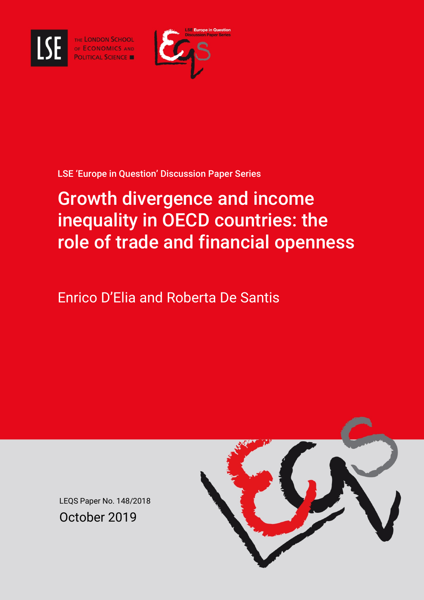

THE LONDON SCHOOL OF ECONOMICS AND



### LSE 'Europe in Question' Discussion Paper Series

# Growth divergence and income inequality in OECD countries: the role of trade and financial openness

Enrico D'Elia and Roberta De Santis



LEQS Paper No. 148/2018 October 2019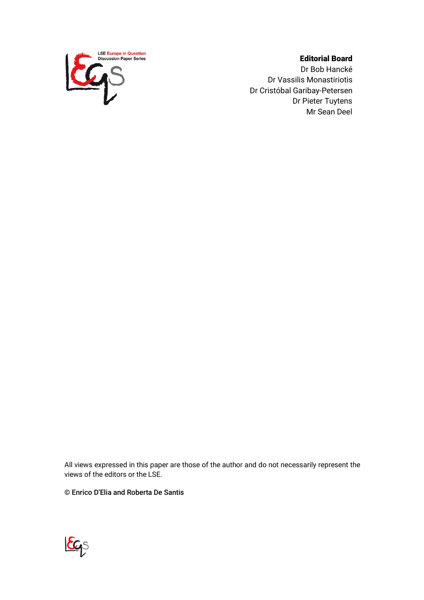

#### Editorial Board

Dr Bob Hancké Dr Vassilis Monastiriotis Dr Cristóbal Garibay-Petersen Dr Pieter Tuytens Mr Sean Deel

All views expressed in this paper are those of the author and do not necessarily represent the views of the editors or the LSE.

© Enrico D'Elia and Roberta De Santis

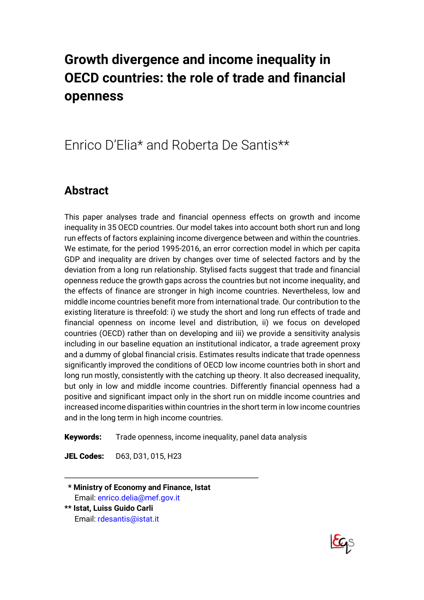# **Growth divergence and income inequality in OECD countries: the role of trade and financial openness**

## Enrico D'Elia\* and Roberta De Santis\*\*

## **Abstract**

This paper analyses trade and financial openness effects on growth and income inequality in 35 OECD countries. Our model takes into account both short run and long run effects of factors explaining income divergence between and within the countries. We estimate, for the period 1995-2016, an error correction model in which per capita GDP and inequality are driven by changes over time of selected factors and by the deviation from a long run relationship. Stylised facts suggest that trade and financial openness reduce the growth gaps across the countries but not income inequality, and the effects of finance are stronger in high income countries. Nevertheless, low and middle income countries benefit more from international trade. Our contribution to the existing literature is threefold: i) we study the short and long run effects of trade and financial openness on income level and distribution, ii) we focus on developed countries (OECD) rather than on developing and iii) we provide a sensitivity analysis including in our baseline equation an institutional indicator, a trade agreement proxy and a dummy of global financial crisis. Estimates results indicate that trade openness significantly improved the conditions of OECD low income countries both in short and long run mostly, consistently with the catching up theory. It also decreased inequality, but only in low and middle income countries. Differently financial openness had a positive and significant impact only in the short run on middle income countries and increased income disparities within countries in the short term in low income countries and in the long term in high income countries.

Keywords: Trade openness, income inequality, panel data analysis

JEL Codes: D63, D31, 015, H23

**\*\* Ministry of Economy and Finance, Istat** Email: enrico.delia@mef.gov.it **\*\* Istat, Luiss Guido Carli**



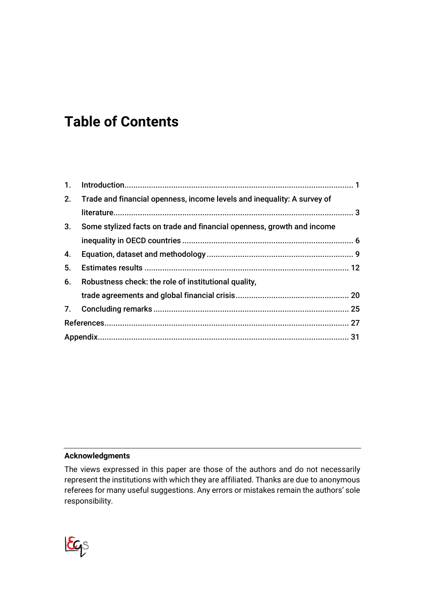# **Table of Contents**

| 1. |                                                                         |  |
|----|-------------------------------------------------------------------------|--|
| 2. | Trade and financial openness, income levels and inequality: A survey of |  |
|    |                                                                         |  |
| 3. | Some stylized facts on trade and financial openness, growth and income  |  |
|    |                                                                         |  |
| 4. |                                                                         |  |
| 5. |                                                                         |  |
| 6. | Robustness check: the role of institutional quality,                    |  |
|    |                                                                         |  |
|    |                                                                         |  |
|    |                                                                         |  |
|    |                                                                         |  |

#### **Acknowledgments**

The views expressed in this paper are those of the authors and do not necessarily represent the institutions with which they are affiliated. Thanks are due to anonymous referees for many useful suggestions. Any errors or mistakes remain the authors' sole responsibility.

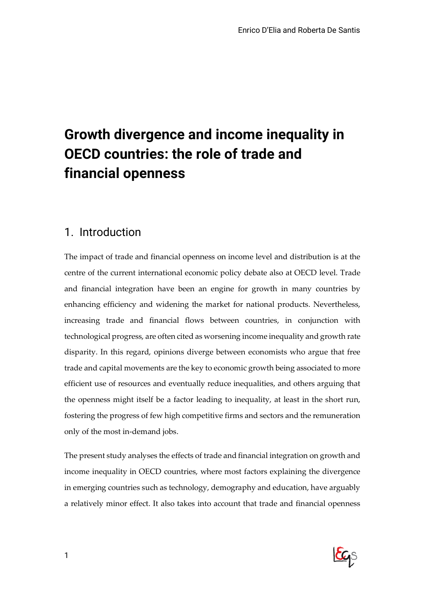# **Growth divergence and income inequality in OECD countries: the role of trade and financial openness**

### 1. Introduction

The impact of trade and financial openness on income level and distribution is at the centre of the current international economic policy debate also at OECD level. Trade and financial integration have been an engine for growth in many countries by enhancing efficiency and widening the market for national products. Nevertheless, increasing trade and financial flows between countries, in conjunction with technological progress, are often cited as worsening income inequality and growth rate disparity. In this regard, opinions diverge between economists who argue that free trade and capital movements are the key to economic growth being associated to more efficient use of resources and eventually reduce inequalities, and others arguing that the openness might itself be a factor leading to inequality, at least in the short run, fostering the progress of few high competitive firms and sectors and the remuneration only of the most in-demand jobs.

The present study analyses the effects of trade and financial integration on growth and income inequality in OECD countries, where most factors explaining the divergence in emerging countries such as technology, demography and education, have arguably a relatively minor effect. It also takes into account that trade and financial openness

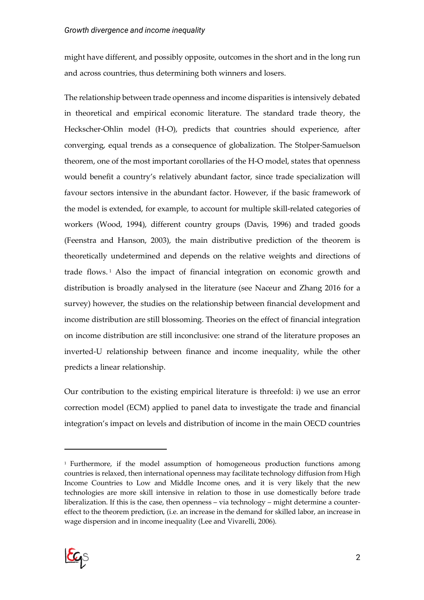might have different, and possibly opposite, outcomes in the short and in the long run and across countries, thus determining both winners and losers.

The relationship between trade openness and income disparities is intensively debated in theoretical and empirical economic literature. The standard trade theory, the Heckscher-Ohlin model (H-O), predicts that countries should experience, after converging, equal trends as a consequence of globalization. The Stolper-Samuelson theorem, one of the most important corollaries of the H-O model, states that openness would benefit a country's relatively abundant factor, since trade specialization will favour sectors intensive in the abundant factor. However, if the basic framework of the model is extended, for example, to account for multiple skill-related categories of workers (Wood, 1994), different country groups (Davis, 1996) and traded goods (Feenstra and Hanson, 2003), the main distributive prediction of the theorem is theoretically undetermined and depends on the relative weights and directions of trade flows. <sup>1</sup> Also the impact of financial integration on economic growth and distribution is broadly analysed in the literature (see Naceur and Zhang 2016 for a survey) however, the studies on the relationship between financial development and income distribution are still blossoming. Theories on the effect of financial integration on income distribution are still inconclusive: one strand of the literature proposes an inverted-U relationship between finance and income inequality, while the other predicts a linear relationship.

Our contribution to the existing empirical literature is threefold: i) we use an error correction model (ECM) applied to panel data to investigate the trade and financial integration's impact on levels and distribution of income in the main OECD countries

<sup>1</sup> Furthermore, if the model assumption of homogeneous production functions among countries is relaxed, then international openness may facilitate technology diffusion from High Income Countries to Low and Middle Income ones, and it is very likely that the new technologies are more skill intensive in relation to those in use domestically before trade liberalization. If this is the case, then openness – via technology – might determine a countereffect to the theorem prediction, (i.e. an increase in the demand for skilled labor, an increase in wage dispersion and in income inequality (Lee and Vivarelli, 2006).

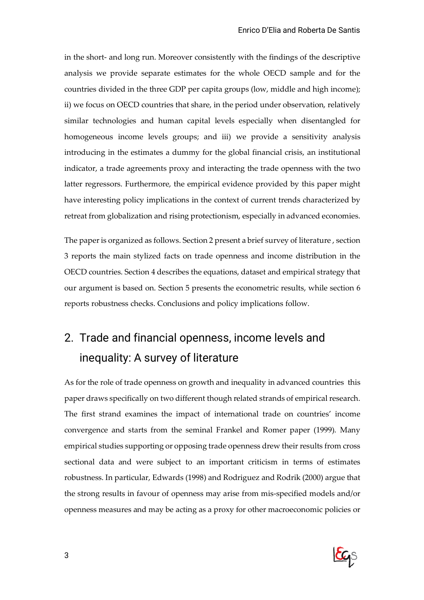in the short- and long run. Moreover consistently with the findings of the descriptive analysis we provide separate estimates for the whole OECD sample and for the countries divided in the three GDP per capita groups (low, middle and high income); ii) we focus on OECD countries that share, in the period under observation, relatively similar technologies and human capital levels especially when disentangled for homogeneous income levels groups; and iii) we provide a sensitivity analysis introducing in the estimates a dummy for the global financial crisis, an institutional indicator, a trade agreements proxy and interacting the trade openness with the two latter regressors. Furthermore, the empirical evidence provided by this paper might have interesting policy implications in the context of current trends characterized by retreat from globalization and rising protectionism, especially in advanced economies.

The paper is organized as follows. Section 2 present a brief survey of literature , section 3 reports the main stylized facts on trade openness and income distribution in the OECD countries. Section 4 describes the equations, dataset and empirical strategy that our argument is based on. Section 5 presents the econometric results, while section 6 reports robustness checks. Conclusions and policy implications follow.

## 2. Trade and financial openness, income levels and inequality: A survey of literature

As for the role of trade openness on growth and inequality in advanced countries this paper draws specifically on two different though related strands of empirical research. The first strand examines the impact of international trade on countries' income convergence and starts from the seminal Frankel and Romer paper (1999). Many empirical studies supporting or opposing trade openness drew their results from cross sectional data and were subject to an important criticism in terms of estimates robustness. In particular, Edwards (1998) and Rodriguez and Rodrik (2000) argue that the strong results in favour of openness may arise from mis-specified models and/or openness measures and may be acting as a proxy for other macroeconomic policies or

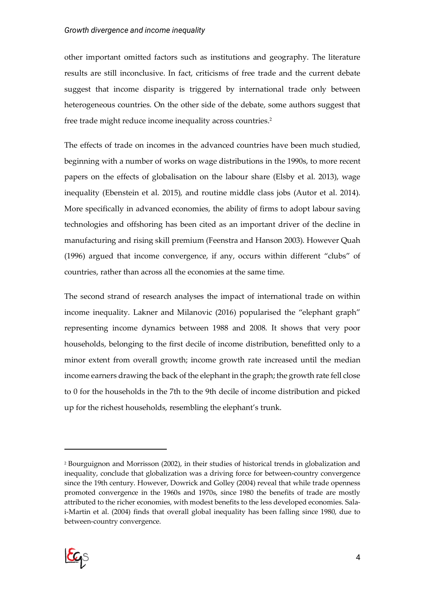#### *Growth divergence and income inequality*

other important omitted factors such as institutions and geography. The literature results are still inconclusive. In fact, criticisms of free trade and the current debate suggest that income disparity is triggered by international trade only between heterogeneous countries. On the other side of the debate, some authors suggest that free trade might reduce income inequality across countries. 2

The effects of trade on incomes in the advanced countries have been much studied, beginning with a number of works on wage distributions in the 1990s, to more recent papers on the effects of globalisation on the labour share (Elsby et al. 2013), wage inequality (Ebenstein et al. 2015), and routine middle class jobs (Autor et al. 2014). More specifically in advanced economies, the ability of firms to adopt labour saving technologies and offshoring has been cited as an important driver of the decline in manufacturing and rising skill premium (Feenstra and Hanson 2003). However Quah (1996) argued that income convergence, if any, occurs within different "clubs" of countries, rather than across all the economies at the same time.

The second strand of research analyses the impact of international trade on within income inequality. Lakner and Milanovic (2016) popularised the "elephant graph" representing income dynamics between 1988 and 2008. It shows that very poor households, belonging to the first decile of income distribution, benefitted only to a minor extent from overall growth; income growth rate increased until the median income earners drawing the back of the elephant in the graph; the growth rate fell close to 0 for the households in the 7th to the 9th decile of income distribution and picked up for the richest households, resembling the elephant's trunk.

<sup>2</sup> Bourguignon and Morrisson (2002), in their studies of historical trends in globalization and inequality, conclude that globalization was a driving force for between-country convergence since the 19th century. However, Dowrick and Golley (2004) reveal that while trade openness promoted convergence in the 1960s and 1970s, since 1980 the benefits of trade are mostly attributed to the richer economies, with modest benefits to the less developed economies. Salai-Martin et al. (2004) finds that overall global inequality has been falling since 1980, due to between-country convergence.

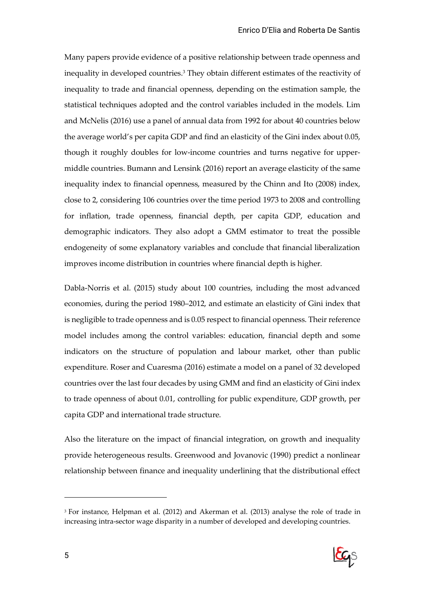Many papers provide evidence of a positive relationship between trade openness and inequality in developed countries. <sup>3</sup> They obtain different estimates of the reactivity of inequality to trade and financial openness, depending on the estimation sample, the statistical techniques adopted and the control variables included in the models. Lim and McNelis (2016) use a panel of annual data from 1992 for about 40 countries below the average world's per capita GDP and find an elasticity of the Gini index about 0.05, though it roughly doubles for low-income countries and turns negative for uppermiddle countries. Bumann and Lensink (2016) report an average elasticity of the same inequality index to financial openness, measured by the Chinn and Ito (2008) index, close to 2, considering 106 countries over the time period 1973 to 2008 and controlling for inflation, trade openness, financial depth, per capita GDP, education and demographic indicators. They also adopt a GMM estimator to treat the possible endogeneity of some explanatory variables and conclude that financial liberalization improves income distribution in countries where financial depth is higher.

Dabla-Norris et al. (2015) study about 100 countries, including the most advanced economies, during the period 1980–2012, and estimate an elasticity of Gini index that is negligible to trade openness and is 0.05 respect to financial openness. Their reference model includes among the control variables: education, financial depth and some indicators on the structure of population and labour market, other than public expenditure. Roser and Cuaresma (2016) estimate a model on a panel of 32 developed countries over the last four decades by using GMM and find an elasticity of Gini index to trade openness of about 0.01, controlling for public expenditure, GDP growth, per capita GDP and international trade structure.

Also the literature on the impact of financial integration, on growth and inequality provide heterogeneous results. Greenwood and Jovanovic (1990) predict a nonlinear relationship between finance and inequality underlining that the distributional effect

<sup>3</sup> For instance, Helpman et al. (2012) and Akerman et al. (2013) analyse the role of trade in increasing intra-sector wage disparity in a number of developed and developing countries.

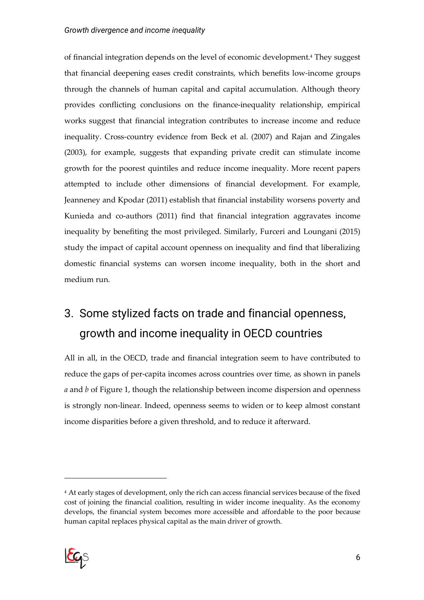#### *Growth divergence and income inequality*

of financial integration depends on the level of economic development. <sup>4</sup> They suggest that financial deepening eases credit constraints, which benefits low-income groups through the channels of human capital and capital accumulation. Although theory provides conflicting conclusions on the finance-inequality relationship, empirical works suggest that financial integration contributes to increase income and reduce inequality. Cross-country evidence from Beck et al. (2007) and Rajan and Zingales (2003), for example, suggests that expanding private credit can stimulate income growth for the poorest quintiles and reduce income inequality. More recent papers attempted to include other dimensions of financial development. For example, Jeanneney and Kpodar (2011) establish that financial instability worsens poverty and Kunieda and co-authors (2011) find that financial integration aggravates income inequality by benefiting the most privileged. Similarly, Furceri and Loungani (2015) study the impact of capital account openness on inequality and find that liberalizing domestic financial systems can worsen income inequality, both in the short and medium run.

## 3. Some stylized facts on trade and financial openness, growth and income inequality in OECD countries

All in all, in the OECD, trade and financial integration seem to have contributed to reduce the gaps of per-capita incomes across countries over time, as shown in panels *a* and *b* of Figure 1, though the relationship between income dispersion and openness is strongly non-linear. Indeed, openness seems to widen or to keep almost constant income disparities before a given threshold, and to reduce it afterward.

<sup>4</sup> At early stages of development, only the rich can access financial services because of the fixed cost of joining the financial coalition, resulting in wider income inequality. As the economy develops, the financial system becomes more accessible and affordable to the poor because human capital replaces physical capital as the main driver of growth.

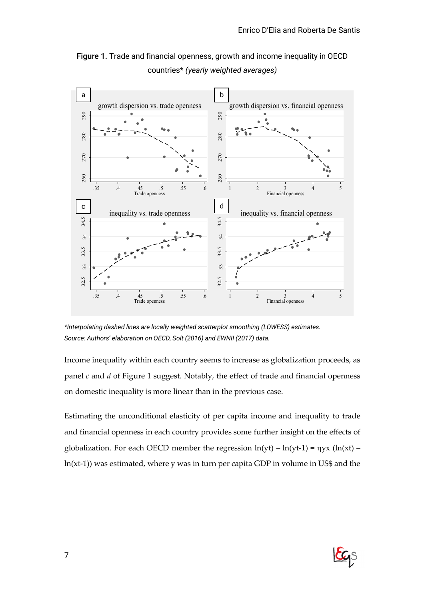

Figure 1. Trade and financial openness, growth and income inequality in OECD countries\* *(yearly weighted averages)*

*\*Interpolating dashed lines are locally weighted scatterplot smoothing (LOWESS) estimates. Source: Authors' elaboration on OECD, Solt (2016) and EWNII (2017) data.*

Income inequality within each country seems to increase as globalization proceeds, as panel *c* and *d* of Figure 1 suggest. Notably, the effect of trade and financial openness on domestic inequality is more linear than in the previous case.

Estimating the unconditional elasticity of per capita income and inequality to trade and financial openness in each country provides some further insight on the effects of globalization. For each OECD member the regression  $ln(yt) - ln(yt-1) = \eta yx (ln(xt) -$ 

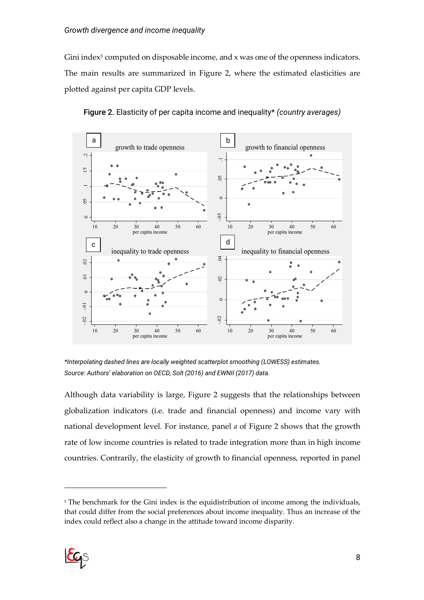Gini index<sup>5</sup> computed on disposable income, and x was one of the openness indicators. The main results are summarized in Figure 2, where the estimated elasticities are plotted against per capita GDP levels.





*\*Interpolating dashed lines are locally weighted scatterplot smoothing (LOWESS) estimates. Source: Authors' elaboration on OECD, Solt (2016) and EWNII (2017) data.*

Although data variability is large, Figure 2 suggests that the relationships between globalization indicators (i.e. trade and financial openness) and income vary with national development level. For instance, panel *a* of Figure 2 shows that the growth rate of low income countries is related to trade integration more than in high income countries. Contrarily, the elasticity of growth to financial openness, reported in panel

<sup>&</sup>lt;sup>5</sup> The benchmark for the Gini index is the equidistribution of income among the individuals, that could differ from the social preferences about income inequality. Thus an increase of the index could reflect also a change in the attitude toward income disparity.

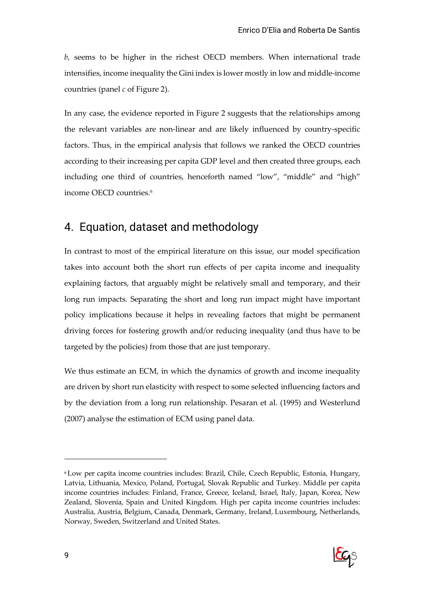*b*, seems to be higher in the richest OECD members. When international trade intensifies, income inequality the Gini index is lower mostly in low and middle-income countries (panel *c* of Figure 2).

In any case, the evidence reported in Figure 2 suggests that the relationships among the relevant variables are non-linear and are likely influenced by country-specific factors. Thus, in the empirical analysis that follows we ranked the OECD countries according to their increasing per capita GDP level and then created three groups, each including one third of countries, henceforth named "low", "middle" and "high" income OECD countries.6

### 4. Equation, dataset and methodology

In contrast to most of the empirical literature on this issue, our model specification takes into account both the short run effects of per capita income and inequality explaining factors, that arguably might be relatively small and temporary, and their long run impacts. Separating the short and long run impact might have important policy implications because it helps in revealing factors that might be permanent driving forces for fostering growth and/or reducing inequality (and thus have to be targeted by the policies) from those that are just temporary.

We thus estimate an ECM, in which the dynamics of growth and income inequality are driven by short run elasticity with respect to some selected influencing factors and by the deviation from a long run relationship. Pesaran et al. (1995) and Westerlund (2007) analyse the estimation of ECM using panel data.

<sup>6</sup> Low per capita income countries includes: Brazil, Chile, Czech Republic, Estonia, Hungary, Latvia, Lithuania, Mexico, Poland, Portugal, Slovak Republic and Turkey. Middle per capita income countries includes: Finland, France, Greece, Iceland, Israel, Italy, Japan, Korea, New Zealand, Slovenia, Spain and United Kingdom. High per capita income countries includes: Australia, Austria, Belgium, Canada, Denmark, Germany, Ireland, Luxembourg, Netherlands, Norway, Sweden, Switzerland and United States.

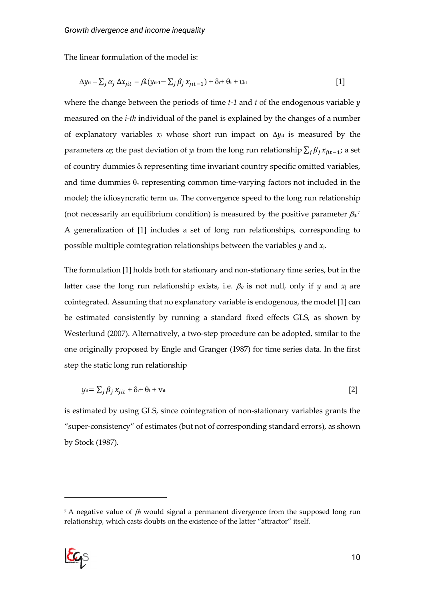The linear formulation of the model is:

$$
\Delta y_{it} = \sum_j \alpha_j \Delta x_{jit} - \beta_0 (y_{it-1} - \sum_j \beta_j x_{jit-1}) + \delta_i + \theta_t + u_{it}
$$
 [1]

where the change between the periods of time *t-1* and *t* of the endogenous variable *y* measured on the *i-th* individual of the panel is explained by the changes of a number of explanatory variables  $x_j$  whose short run impact on  $\Delta y_{it}$  is measured by the parameters  $\alpha_j$ ; the past deviation of  $y_i$  from the long run relationship  $\sum_j \beta_j x_{jit-1}$ ; a set of country dummies  $\delta_i$  representing time invariant country specific omitted variables, and time dummies  $\theta_t$  representing common time-varying factors not included in the model; the idiosyncratic term u<sub>it</sub>. The convergence speed to the long run relationship (not necessarily an equilibrium condition) is measured by the positive parameter  $\beta_0$ . A generalization of [1] includes a set of long run relationships, corresponding to possible multiple cointegration relationships between the variables *y* and *x*j.

The formulation [1] holds both for stationary and non-stationary time series, but in the latter case the long run relationship exists, i.e.  $\beta_0$  is not null, only if *y* and  $x_j$  are cointegrated. Assuming that no explanatory variable is endogenous, the model [1] can be estimated consistently by running a standard fixed effects GLS, as shown by Westerlund (2007). Alternatively, a two-step procedure can be adopted, similar to the one originally proposed by Engle and Granger (1987) for time series data. In the first step the static long run relationship

$$
y_{it} = \sum_{j} \beta_j x_{jit} + \delta_{it} + v_{it}
$$

is estimated by using GLS, since cointegration of non-stationary variables grants the "super-consistency" of estimates (but not of corresponding standard errors), as shown by Stock (1987).

<sup>&</sup>lt;sup>7</sup> A negative value of  $\beta$  would signal a permanent divergence from the supposed long run relationship, which casts doubts on the existence of the latter "attractor" itself.

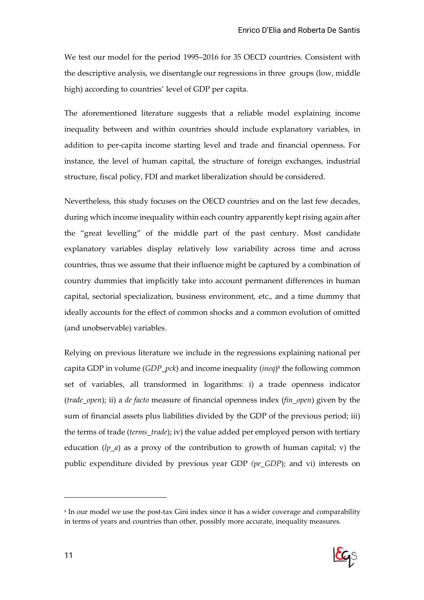We test our model for the period 1995–2016 for 35 OECD countries. Consistent with the descriptive analysis, we disentangle our regressions in three groups (low, middle high) according to countries' level of GDP per capita.

The aforementioned literature suggests that a reliable model explaining income inequality between and within countries should include explanatory variables, in addition to per-capita income starting level and trade and financial openness. For instance, the level of human capital, the structure of foreign exchanges, industrial structure, fiscal policy, FDI and market liberalization should be considered.

Nevertheless, this study focuses on the OECD countries and on the last few decades, during which income inequality within each country apparently kept rising again after the "great levelling" of the middle part of the past century. Most candidate explanatory variables display relatively low variability across time and across countries, thus we assume that their influence might be captured by a combination of country dummies that implicitly take into account permanent differences in human capital, sectorial specialization, business environment, etc., and a time dummy that ideally accounts for the effect of common shocks and a common evolution of omitted (and unobservable) variables.

Relying on previous literature we include in the regressions explaining national per capita GDP in volume (*GDP\_pck*) and income inequality (*ineq*)8 the following common set of variables, all transformed in logarithms: i) a trade openness indicator (*trade\_open*); ii) a *de facto* measure of financial openness index (*fin\_open*) given by the sum of financial assets plus liabilities divided by the GDP of the previous period; iii) the terms of trade (*terms\_trade*); iv) the value added per employed person with tertiary education (*lp\_a*) as a proxy of the contribution to growth of human capital; v) the public expenditure divided by previous year GDP *(pe\_GDP*); and vi) interests on

<sup>8</sup> In our model we use the post-tax Gini index since it has a wider coverage and comparability in terms of years and countries than other, possibly more accurate, inequality measures.

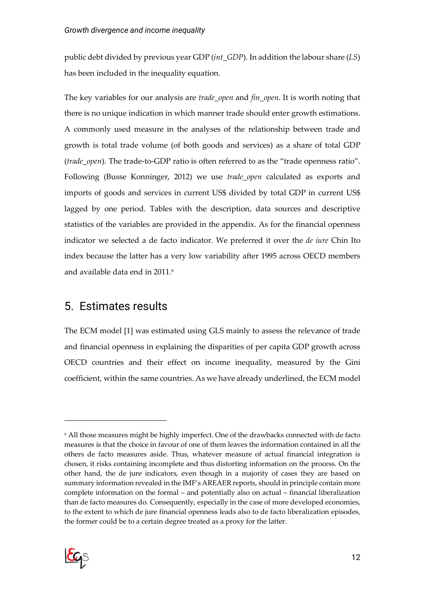public debt divided by previous year GDP (*int\_GDP*). In addition the labour share (*LS*) has been included in the inequality equation.

The key variables for our analysis are *trade\_open* and *fin\_open*. It is worth noting that there is no unique indication in which manner trade should enter growth estimations. A commonly used measure in the analyses of the relationship between trade and growth is total trade volume (of both goods and services) as a share of total GDP (*trade\_open*). The trade-to-GDP ratio is often referred to as the "trade openness ratio". Following (Busse Konninger, 2012) we use *trade\_open* calculated as exports and imports of goods and services in current US\$ divided by total GDP in current US\$ lagged by one period. Tables with the description, data sources and descriptive statistics of the variables are provided in the appendix. As for the financial openness indicator we selected a de facto indicator. We preferred it over the *de iure* Chin Ito index because the latter has a very low variability after 1995 across OECD members and available data end in 2011.9

### 5. Estimates results

The ECM model [1] was estimated using GLS mainly to assess the relevance of trade and financial openness in explaining the disparities of per capita GDP growth across OECD countries and their effect on income inequality, measured by the Gini coefficient, within the same countries. As we have already underlined, the ECM model

<sup>9</sup> All those measures might be highly imperfect. One of the drawbacks connected with de facto measures is that the choice in favour of one of them leaves the information contained in all the others de facto measures aside. Thus, whatever measure of actual financial integration is chosen, it risks containing incomplete and thus distorting information on the process. On the other hand, the de jure indicators, even though in a majority of cases they are based on summary information revealed in the IMF's AREAER reports, should in principle contain more complete information on the formal – and potentially also on actual – financial liberalization than de facto measures do. Consequently, especially in the case of more developed economies, to the extent to which de jure financial openness leads also to de facto liberalization episodes, the former could be to a certain degree treated as a proxy for the latter.

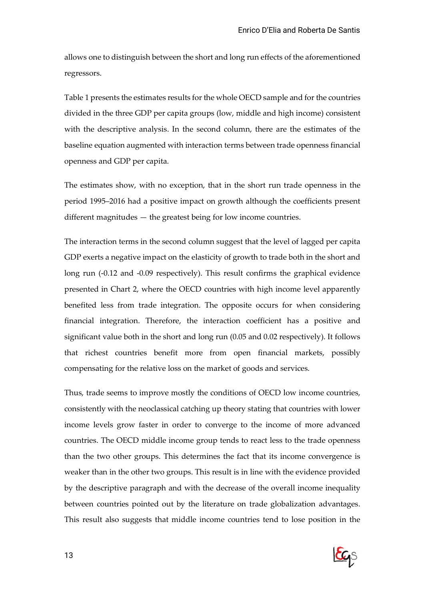allows one to distinguish between the short and long run effects of the aforementioned regressors.

Table 1 presents the estimates results for the whole OECD sample and for the countries divided in the three GDP per capita groups (low, middle and high income) consistent with the descriptive analysis. In the second column, there are the estimates of the baseline equation augmented with interaction terms between trade openness financial openness and GDP per capita.

The estimates show, with no exception, that in the short run trade openness in the period 1995–2016 had a positive impact on growth although the coefficients present different magnitudes — the greatest being for low income countries.

The interaction terms in the second column suggest that the level of lagged per capita GDP exerts a negative impact on the elasticity of growth to trade both in the short and long run (-0.12 and -0.09 respectively). This result confirms the graphical evidence presented in Chart 2, where the OECD countries with high income level apparently benefited less from trade integration. The opposite occurs for when considering financial integration. Therefore, the interaction coefficient has a positive and significant value both in the short and long run (0.05 and 0.02 respectively). It follows that richest countries benefit more from open financial markets, possibly compensating for the relative loss on the market of goods and services.

Thus, trade seems to improve mostly the conditions of OECD low income countries, consistently with the neoclassical catching up theory stating that countries with lower income levels grow faster in order to converge to the income of more advanced countries. The OECD middle income group tends to react less to the trade openness than the two other groups. This determines the fact that its income convergence is weaker than in the other two groups. This result is in line with the evidence provided by the descriptive paragraph and with the decrease of the overall income inequality between countries pointed out by the literature on trade globalization advantages. This result also suggests that middle income countries tend to lose position in the

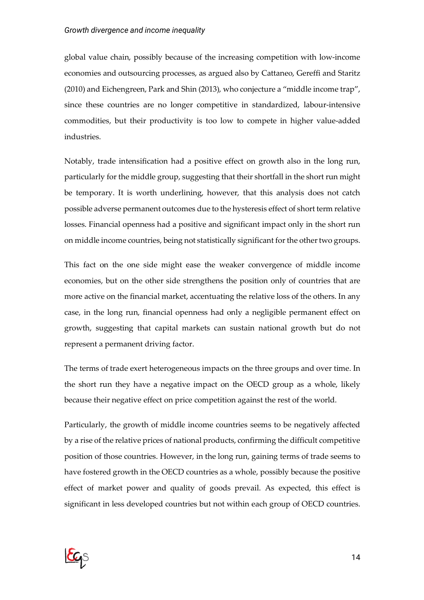global value chain, possibly because of the increasing competition with low-income economies and outsourcing processes, as argued also by Cattaneo, Gereffi and Staritz (2010) and Eichengreen, Park and Shin (2013), who conjecture a "middle income trap", since these countries are no longer competitive in standardized, labour-intensive commodities, but their productivity is too low to compete in higher value-added industries.

Notably, trade intensification had a positive effect on growth also in the long run, particularly for the middle group, suggesting that their shortfall in the short run might be temporary. It is worth underlining, however, that this analysis does not catch possible adverse permanent outcomes due to the hysteresis effect of short term relative losses. Financial openness had a positive and significant impact only in the short run on middle income countries, being not statistically significant for the other two groups.

This fact on the one side might ease the weaker convergence of middle income economies, but on the other side strengthens the position only of countries that are more active on the financial market, accentuating the relative loss of the others. In any case, in the long run, financial openness had only a negligible permanent effect on growth, suggesting that capital markets can sustain national growth but do not represent a permanent driving factor.

The terms of trade exert heterogeneous impacts on the three groups and over time. In the short run they have a negative impact on the OECD group as a whole, likely because their negative effect on price competition against the rest of the world.

Particularly, the growth of middle income countries seems to be negatively affected by a rise of the relative prices of national products, confirming the difficult competitive position of those countries. However, in the long run, gaining terms of trade seems to have fostered growth in the OECD countries as a whole, possibly because the positive effect of market power and quality of goods prevail. As expected, this effect is significant in less developed countries but not within each group of OECD countries.

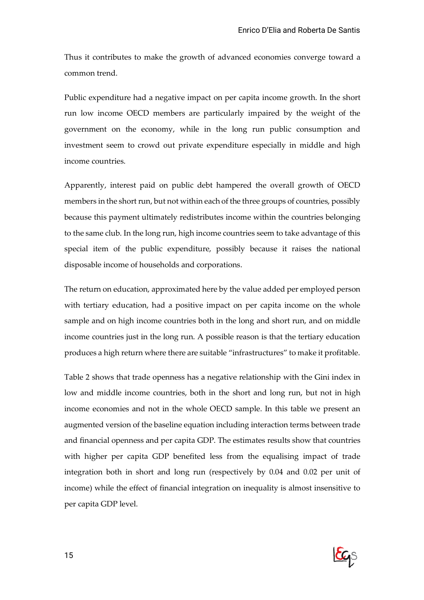Thus it contributes to make the growth of advanced economies converge toward a common trend.

Public expenditure had a negative impact on per capita income growth. In the short run low income OECD members are particularly impaired by the weight of the government on the economy, while in the long run public consumption and investment seem to crowd out private expenditure especially in middle and high income countries.

Apparently, interest paid on public debt hampered the overall growth of OECD members in the short run, but not within each of the three groups of countries, possibly because this payment ultimately redistributes income within the countries belonging to the same club. In the long run, high income countries seem to take advantage of this special item of the public expenditure, possibly because it raises the national disposable income of households and corporations.

The return on education, approximated here by the value added per employed person with tertiary education, had a positive impact on per capita income on the whole sample and on high income countries both in the long and short run, and on middle income countries just in the long run. A possible reason is that the tertiary education produces a high return where there are suitable "infrastructures" to make it profitable.

Table 2 shows that trade openness has a negative relationship with the Gini index in low and middle income countries, both in the short and long run, but not in high income economies and not in the whole OECD sample. In this table we present an augmented version of the baseline equation including interaction terms between trade and financial openness and per capita GDP. The estimates results show that countries with higher per capita GDP benefited less from the equalising impact of trade integration both in short and long run (respectively by 0.04 and 0.02 per unit of income) while the effect of financial integration on inequality is almost insensitive to per capita GDP level.

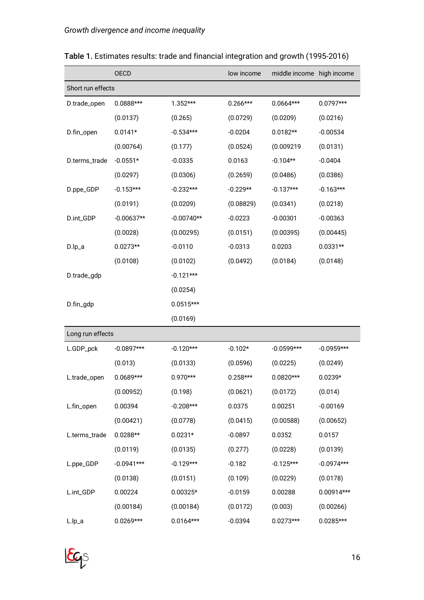|                   | <b>OECD</b>  |              | low income | middle income | high income  |
|-------------------|--------------|--------------|------------|---------------|--------------|
| Short run effects |              |              |            |               |              |
| D.trade_open      | 0.0888***    | $1.352***$   | $0.266***$ | $0.0664***$   | $0.0797***$  |
|                   | (0.0137)     | (0.265)      | (0.0729)   | (0.0209)      | (0.0216)     |
| D.fin_open        | $0.0141*$    | $-0.534***$  | $-0.0204$  | $0.0182**$    | $-0.00534$   |
|                   | (0.00764)    | (0.177)      | (0.0524)   | (0.009219     | (0.0131)     |
| D.terms_trade     | $-0.0551*$   | $-0.0335$    | 0.0163     | $-0.104**$    | $-0.0404$    |
|                   | (0.0297)     | (0.0306)     | (0.2659)   | (0.0486)      | (0.0386)     |
| D.ppe_GDP         | $-0.153***$  | $-0.232***$  | $-0.229**$ | $-0.137***$   | $-0.163***$  |
|                   | (0.0191)     | (0.0209)     | (0.08829)  | (0.0341)      | (0.0218)     |
| D.int_GDP         | $-0.00637**$ | $-0.00740**$ | $-0.0223$  | $-0.00301$    | $-0.00363$   |
|                   | (0.0028)     | (0.00295)    | (0.0151)   | (0.00395)     | (0.00445)    |
| D.lp_a            | $0.0273**$   | $-0.0110$    | $-0.0313$  | 0.0203        | $0.0331**$   |
|                   | (0.0108)     | (0.0102)     | (0.0492)   | (0.0184)      | (0.0148)     |
| D.trade_gdp       |              | $-0.121***$  |            |               |              |
|                   |              | (0.0254)     |            |               |              |
| D.fin_gdp         |              | $0.0515***$  |            |               |              |
|                   |              | (0.0169)     |            |               |              |
| Long run effects  |              |              |            |               |              |
| L.GDP_pck         | $-0.0897***$ | $-0.120***$  | $-0.102*$  | $-0.0599***$  | $-0.0959***$ |
|                   | (0.013)      | (0.0133)     | (0.0596)   | (0.0225)      | (0.0249)     |
| L.trade_open      | $0.0689***$  | $0.970***$   | $0.258***$ | $0.0820***$   | $0.0239*$    |
|                   | (0.00952)    | (0.198)      | (0.0621)   | (0.0172)      | (0.014)      |
| L.fin_open        | 0.00394      | $-0.208***$  | 0.0375     | 0.00251       | $-0.00169$   |
|                   | (0.00421)    | (0.0778)     | (0.0415)   | (0.00588)     | (0.00652)    |
| L.terms_trade     | $0.0288**$   | $0.0231*$    | $-0.0897$  | 0.0352        | 0.0157       |
|                   | (0.0119)     | (0.0135)     | (0.277)    | (0.0228)      | (0.0139)     |
| L.ppe_GDP         | $-0.0941***$ | $-0.129***$  | $-0.182$   | $-0.125***$   | $-0.0974***$ |
|                   | (0.0138)     | (0.0151)     | (0.109)    | (0.0229)      | (0.0178)     |
| L.int_GDP         | 0.00224      | $0.00325*$   | $-0.0159$  | 0.00288       | 0.00914***   |
|                   | (0.00184)    | (0.00184)    | (0.0172)   | (0.003)       | (0.00266)    |
| L.lp_a            | $0.0269***$  | $0.0164***$  | $-0.0394$  | $0.0273***$   | $0.0285***$  |

### Table 1. Estimates results: trade and financial integration and growth (1995-2016)

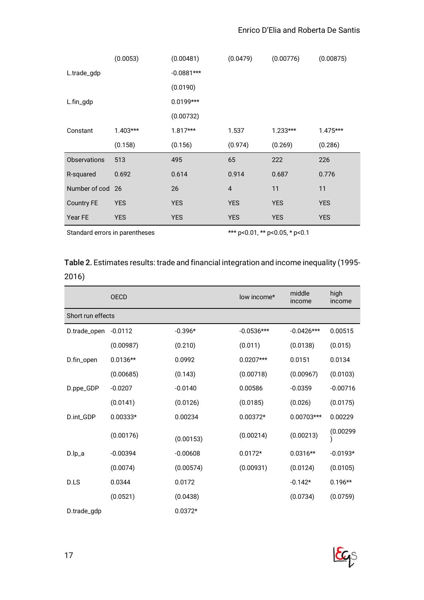|                     | (0.0053)   | (0.00481)    | (0.0479)   | (0.00776)  | (0.00875)  |
|---------------------|------------|--------------|------------|------------|------------|
| L.trade_gdp         |            | $-0.0881***$ |            |            |            |
|                     |            | (0.0190)     |            |            |            |
| L.fin_gdp           |            | $0.0199***$  |            |            |            |
|                     |            | (0.00732)    |            |            |            |
| Constant            | $1.403***$ | $1.817***$   | 1.537      | $1.233***$ | $1.475***$ |
|                     | (0.158)    | (0.156)      | (0.974)    | (0.269)    | (0.286)    |
| <b>Observations</b> | 513        | 495          | 65         | 222        | 226        |
| R-squared           | 0.692      | 0.614        | 0.914      | 0.687      | 0.776      |
| Number of cod 26    |            | 26           | 4          | 11         | 11         |
| <b>Country FE</b>   | <b>YES</b> | <b>YES</b>   | <b>YES</b> | <b>YES</b> | <b>YES</b> |
| Year FE             | <b>YES</b> | <b>YES</b>   | <b>YES</b> | <b>YES</b> | <b>YES</b> |

Standard errors in parentheses \*\*\* p<0.01, \*\* p<0.05, \* p<0.1

#### Table 2. Estimates results: trade and financial integration and income inequality (1995- 2016)

|                   | <b>OECD</b> |            | low income*  | middle<br>income | high<br>income |
|-------------------|-------------|------------|--------------|------------------|----------------|
| Short run effects |             |            |              |                  |                |
| D.trade_open      | $-0.0112$   | $-0.396*$  | $-0.0536***$ | $-0.0426***$     | 0.00515        |
|                   | (0.00987)   | (0.210)    | (0.011)      | (0.0138)         | (0.015)        |
| D.fin_open        | $0.0136**$  | 0.0992     | $0.0207***$  | 0.0151           | 0.0134         |
|                   | (0.00685)   | (0.143)    | (0.00718)    | (0.00967)        | (0.0103)       |
| D.ppe_GDP         | $-0.0207$   | $-0.0140$  | 0.00586      | $-0.0359$        | $-0.00716$     |
|                   | (0.0141)    | (0.0126)   | (0.0185)     | (0.026)          | (0.0175)       |
| D.int_GDP         | $0.00333*$  | 0.00234    | $0.00372*$   | 0.00703***       | 0.00229        |
|                   | (0.00176)   | (0.00153)  | (0.00214)    | (0.00213)        | (0.00299)      |
| $D.lp_a$          | $-0.00394$  | $-0.00608$ | $0.0172*$    | $0.0316**$       | $-0.0193*$     |
|                   | (0.0074)    | (0.00574)  | (0.00931)    | (0.0124)         | (0.0105)       |
| D.LS              | 0.0344      | 0.0172     |              | $-0.142*$        | $0.196**$      |
|                   | (0.0521)    | (0.0438)   |              | (0.0734)         | (0.0759)       |
| D.trade_gdp       |             | $0.0372*$  |              |                  |                |

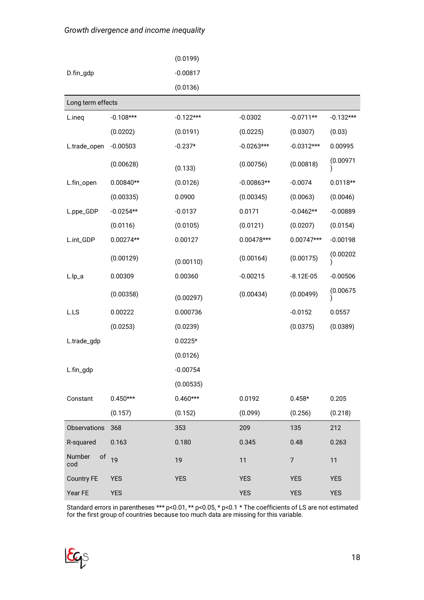#### *Growth divergence and income inequality*

|                     |             | (0.0199)    |              |                |             |
|---------------------|-------------|-------------|--------------|----------------|-------------|
| D.fin_gdp           |             | $-0.00817$  |              |                |             |
|                     |             | (0.0136)    |              |                |             |
| Long term effects   |             |             |              |                |             |
| L.ineq              | $-0.108***$ | $-0.122***$ | $-0.0302$    | $-0.0711**$    | $-0.132***$ |
|                     | (0.0202)    | (0.0191)    | (0.0225)     | (0.0307)       | (0.03)      |
| L.trade_open        | $-0.00503$  | $-0.237*$   | $-0.0263***$ | $-0.0312***$   | 0.00995     |
|                     | (0.00628)   | (0.133)     | (0.00756)    | (0.00818)      | (0.00971)   |
| L.fin_open          | $0.00840**$ | (0.0126)    | $-0.00863**$ | $-0.0074$      | $0.0118**$  |
|                     | (0.00335)   | 0.0900      | (0.00345)    | (0.0063)       | (0.0046)    |
| L.ppe_GDP           | $-0.0254**$ | $-0.0137$   | 0.0171       | $-0.0462**$    | $-0.00889$  |
|                     | (0.0116)    | (0.0105)    | (0.0121)     | (0.0207)       | (0.0154)    |
| L.int_GDP           | $0.00274**$ | 0.00127     | 0.00478***   | 0.00747***     | $-0.00198$  |
|                     | (0.00129)   | (0.00110)   | (0.00164)    | (0.00175)      | (0.00202)   |
| L.lp_a              | 0.00309     | 0.00360     | $-0.00215$   | $-8.12E-05$    | $-0.00506$  |
|                     | (0.00358)   | (0.00297)   | (0.00434)    | (0.00499)      | (0.00675)   |
| L.LS                | 0.00222     | 0.000736    |              | $-0.0152$      | 0.0557      |
|                     | (0.0253)    | (0.0239)    |              | (0.0375)       | (0.0389)    |
| L.trade_gdp         |             | $0.0225*$   |              |                |             |
|                     |             | (0.0126)    |              |                |             |
| L.fin_gdp           |             | $-0.00754$  |              |                |             |
|                     |             | (0.00535)   |              |                |             |
| Constant            | $0.450***$  | $0.460***$  | 0.0192       | $0.458*$       | 0.205       |
|                     | (0.157)     | (0.152)     | (0.099)      | (0.256)        | (0.218)     |
| <b>Observations</b> | 368         | 353         | 209          | 135            | 212         |
| R-squared           | 0.163       | 0.180       | 0.345        | 0.48           | 0.263       |
| Number<br>of<br>cod | 19          | 19          | 11           | $\overline{7}$ | 11          |
| <b>Country FE</b>   | <b>YES</b>  | <b>YES</b>  | <b>YES</b>   | <b>YES</b>     | <b>YES</b>  |
| Year FE             | <b>YES</b>  |             | <b>YES</b>   | <b>YES</b>     | <b>YES</b>  |

Standard errors in parentheses \*\*\* p<0.01, \*\* p<0.05, \* p<0.1 \* The coefficients of LS are not estimated for the first group of countries because too much data are missing for this variable.

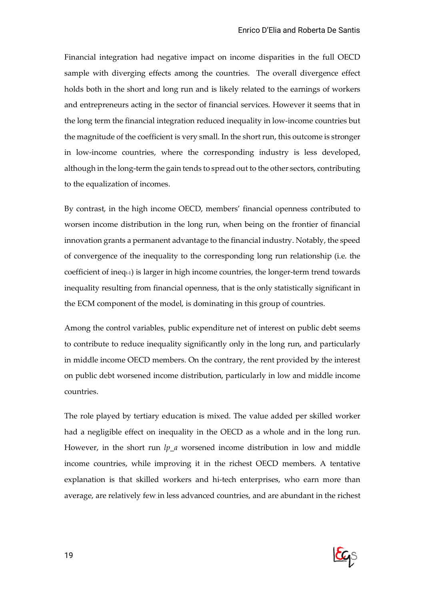Financial integration had negative impact on income disparities in the full OECD sample with diverging effects among the countries. The overall divergence effect holds both in the short and long run and is likely related to the earnings of workers and entrepreneurs acting in the sector of financial services. However it seems that in the long term the financial integration reduced inequality in low-income countries but the magnitude of the coefficient is very small. In the short run, this outcome is stronger in low-income countries, where the corresponding industry is less developed, although in the long-term the gain tends to spread out to the other sectors, contributing to the equalization of incomes.

By contrast, in the high income OECD, members' financial openness contributed to worsen income distribution in the long run, when being on the frontier of financial innovation grants a permanent advantage to the financial industry. Notably, the speed of convergence of the inequality to the corresponding long run relationship (i.e. the coefficient of ineq $\epsilon_1$ ) is larger in high income countries, the longer-term trend towards inequality resulting from financial openness, that is the only statistically significant in the ECM component of the model, is dominating in this group of countries.

Among the control variables, public expenditure net of interest on public debt seems to contribute to reduce inequality significantly only in the long run, and particularly in middle income OECD members. On the contrary, the rent provided by the interest on public debt worsened income distribution, particularly in low and middle income countries.

The role played by tertiary education is mixed. The value added per skilled worker had a negligible effect on inequality in the OECD as a whole and in the long run. However, in the short run *lp a* worsened income distribution in low and middle income countries, while improving it in the richest OECD members. A tentative explanation is that skilled workers and hi-tech enterprises, who earn more than average, are relatively few in less advanced countries, and are abundant in the richest

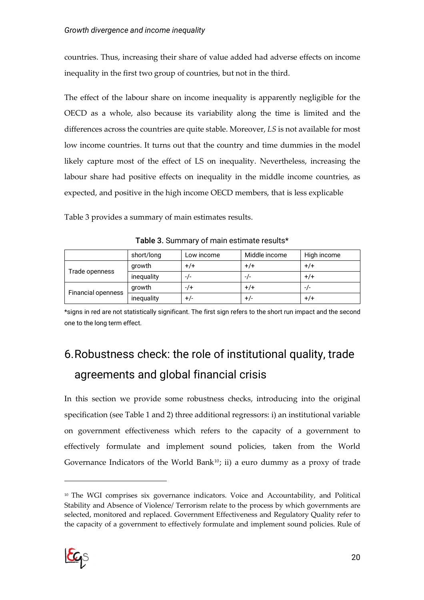countries. Thus, increasing their share of value added had adverse effects on income inequality in the first two group of countries, but not in the third.

The effect of the labour share on income inequality is apparently negligible for the OECD as a whole, also because its variability along the time is limited and the differences across the countries are quite stable. Moreover, *LS* is not available for most low income countries. It turns out that the country and time dummies in the model likely capture most of the effect of LS on inequality. Nevertheless, increasing the labour share had positive effects on inequality in the middle income countries, as expected, and positive in the high income OECD members, that is less explicable

Table 3 provides a summary of main estimates results.

|                           | short/long | Low income | Middle income | High income |
|---------------------------|------------|------------|---------------|-------------|
| Trade openness            | growth     | $+/+$      | $+/+$         | $+/+$       |
|                           | inequality | $-1-$      | -/-           | $+/+$       |
|                           | growth     | $-7$       | $+/+$         | $-1-$       |
| <b>Financial openness</b> | inequality | +/-        | +/-           | +/+         |

Table 3. Summary of main estimate results\*

\*signs in red are not statistically significant. The first sign refers to the short run impact and the second one to the long term effect.

# 6.Robustness check: the role of institutional quality, trade agreements and global financial crisis

In this section we provide some robustness checks, introducing into the original specification (see Table 1 and 2) three additional regressors: i) an institutional variable on government effectiveness which refers to the capacity of a government to effectively formulate and implement sound policies, taken from the World Governance Indicators of the World Bank<sup>10</sup>; ii) a euro dummy as a proxy of trade

<sup>10</sup> The WGI comprises six governance indicators. Voice and Accountability, and Political Stability and Absence of Violence/ Terrorism relate to the process by which governments are selected, monitored and replaced. Government Effectiveness and Regulatory Quality refer to the capacity of a government to effectively formulate and implement sound policies. Rule of

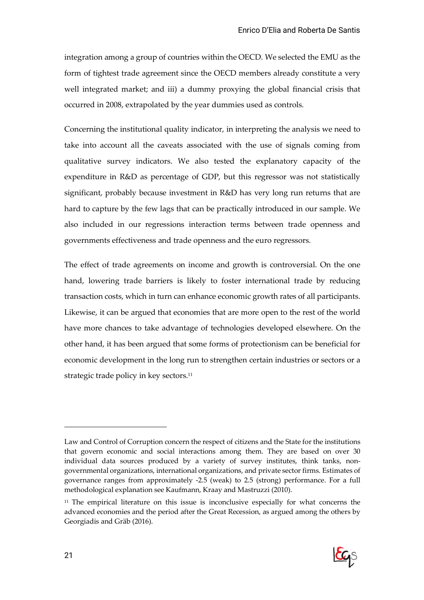integration among a group of countries within the OECD. We selected the EMU as the form of tightest trade agreement since the OECD members already constitute a very well integrated market; and iii) a dummy proxying the global financial crisis that occurred in 2008, extrapolated by the year dummies used as controls.

Concerning the institutional quality indicator, in interpreting the analysis we need to take into account all the caveats associated with the use of signals coming from qualitative survey indicators. We also tested the explanatory capacity of the expenditure in R&D as percentage of GDP, but this regressor was not statistically significant, probably because investment in R&D has very long run returns that are hard to capture by the few lags that can be practically introduced in our sample. We also included in our regressions interaction terms between trade openness and governments effectiveness and trade openness and the euro regressors.

The effect of trade agreements on income and growth is controversial. On the one hand, lowering trade barriers is likely to foster international trade by reducing transaction costs, which in turn can enhance economic growth rates of all participants. Likewise, it can be argued that economies that are more open to the rest of the world have more chances to take advantage of technologies developed elsewhere. On the other hand, it has been argued that some forms of protectionism can be beneficial for economic development in the long run to strengthen certain industries or sectors or a strategic trade policy in key sectors.<sup>11</sup>

<sup>&</sup>lt;sup>11</sup> The empirical literature on this issue is inconclusive especially for what concerns the advanced economies and the period after the Great Recession, as argued among the others by Georgiadis and Gräb (2016).



Law and Control of Corruption concern the respect of citizens and the State for the institutions that govern economic and social interactions among them. They are based on over 30 individual data sources produced by a variety of survey institutes, think tanks, nongovernmental organizations, international organizations, and private sector firms. Estimates of governance ranges from approximately -2.5 (weak) to 2.5 (strong) performance. For a full methodological explanation see Kaufmann, Kraay and Mastruzzi (2010).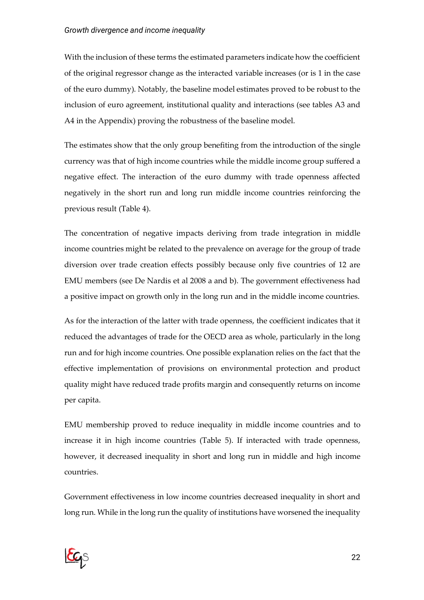#### *Growth divergence and income inequality*

With the inclusion of these terms the estimated parameters indicate how the coefficient of the original regressor change as the interacted variable increases (or is 1 in the case of the euro dummy). Notably, the baseline model estimates proved to be robust to the inclusion of euro agreement, institutional quality and interactions (see tables A3 and A4 in the Appendix) proving the robustness of the baseline model.

The estimates show that the only group benefiting from the introduction of the single currency was that of high income countries while the middle income group suffered a negative effect. The interaction of the euro dummy with trade openness affected negatively in the short run and long run middle income countries reinforcing the previous result (Table 4).

The concentration of negative impacts deriving from trade integration in middle income countries might be related to the prevalence on average for the group of trade diversion over trade creation effects possibly because only five countries of 12 are EMU members (see De Nardis et al 2008 a and b). The government effectiveness had a positive impact on growth only in the long run and in the middle income countries.

As for the interaction of the latter with trade openness, the coefficient indicates that it reduced the advantages of trade for the OECD area as whole, particularly in the long run and for high income countries. One possible explanation relies on the fact that the effective implementation of provisions on environmental protection and product quality might have reduced trade profits margin and consequently returns on income per capita.

EMU membership proved to reduce inequality in middle income countries and to increase it in high income countries (Table 5). If interacted with trade openness, however, it decreased inequality in short and long run in middle and high income countries.

Government effectiveness in low income countries decreased inequality in short and long run. While in the long run the quality of institutions have worsened the inequality

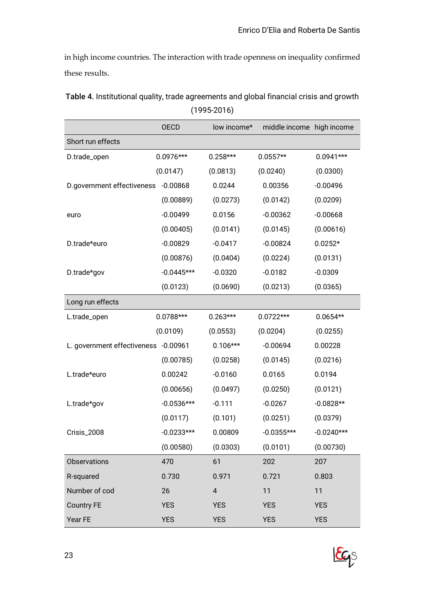in high income countries. The interaction with trade openness on inequality confirmed these results.

|                                      | <b>OECD</b>  | low income*             | middle income high income |              |
|--------------------------------------|--------------|-------------------------|---------------------------|--------------|
| Short run effects                    |              |                         |                           |              |
| D.trade_open                         | $0.0976***$  | $0.258***$              | $0.0557**$                | $0.0941***$  |
|                                      | (0.0147)     | (0.0813)                | (0.0240)                  | (0.0300)     |
| D.government effectiveness           | $-0.00868$   | 0.0244                  | 0.00356                   | $-0.00496$   |
|                                      | (0.00889)    | (0.0273)                | (0.0142)                  | (0.0209)     |
| euro                                 | $-0.00499$   | 0.0156                  | $-0.00362$                | $-0.00668$   |
|                                      | (0.00405)    | (0.0141)                | (0.0145)                  | (0.00616)    |
| D.trade*euro                         | $-0.00829$   | $-0.0417$               | $-0.00824$                | $0.0252*$    |
|                                      | (0.00876)    | (0.0404)                | (0.0224)                  | (0.0131)     |
| D.trade*gov                          | $-0.0445***$ | $-0.0320$               | $-0.0182$                 | $-0.0309$    |
|                                      | (0.0123)     | (0.0690)                | (0.0213)                  | (0.0365)     |
| Long run effects                     |              |                         |                           |              |
| L.trade_open                         | $0.0788***$  | $0.263***$              | $0.0722***$               | $0.0654**$   |
|                                      | (0.0109)     | (0.0553)                | (0.0204)                  | (0.0255)     |
| L. government effectiveness -0.00961 |              | $0.106***$              | $-0.00694$                | 0.00228      |
|                                      | (0.00785)    | (0.0258)                | (0.0145)                  | (0.0216)     |
| L.trade*euro                         | 0.00242      | $-0.0160$               | 0.0165                    | 0.0194       |
|                                      | (0.00656)    | (0.0497)                | (0.0250)                  | (0.0121)     |
| L.trade*gov                          | $-0.0536***$ | $-0.111$                | $-0.0267$                 | $-0.0828**$  |
|                                      | (0.0117)     | (0.101)                 | (0.0251)                  | (0.0379)     |
| Crisis_2008                          | $-0.0233***$ | 0.00809                 | $-0.0355***$              | $-0.0240***$ |
|                                      | (0.00580)    | (0.0303)                | (0.0101)                  | (0.00730)    |
| Observations                         | 470          | 61                      | 202                       | 207          |
| R-squared                            | 0.730        | 0.971                   | 0.721                     | 0.803        |
| Number of cod                        | 26           | $\overline{\mathbf{4}}$ | 11                        | 11           |
| <b>Country FE</b>                    | <b>YES</b>   | <b>YES</b>              | <b>YES</b>                | <b>YES</b>   |
| Year FE                              | <b>YES</b>   | <b>YES</b>              | <b>YES</b>                | <b>YES</b>   |

Table 4. Institutional quality, trade agreements and global financial crisis and growth (1995-2016)

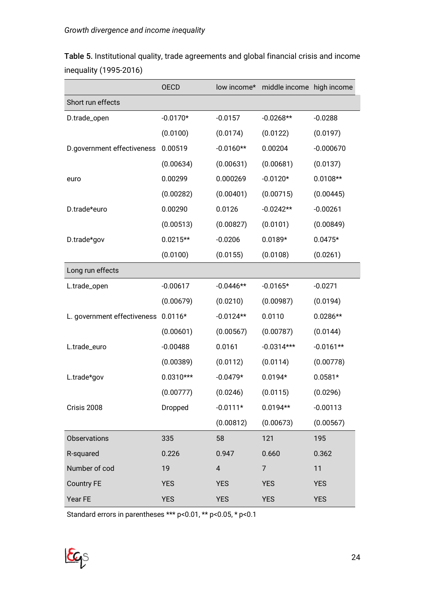|                             | <b>OECD</b> | low income*    | middle income high income |             |
|-----------------------------|-------------|----------------|---------------------------|-------------|
| Short run effects           |             |                |                           |             |
| D.trade_open                | $-0.0170*$  | $-0.0157$      | $-0.0268**$               | $-0.0288$   |
|                             | (0.0100)    | (0.0174)       | (0.0122)                  | (0.0197)    |
| D.government effectiveness  | 0.00519     | $-0.0160**$    | 0.00204                   | $-0.000670$ |
|                             | (0.00634)   | (0.00631)      | (0.00681)                 | (0.0137)    |
| euro                        | 0.00299     | 0.000269       | $-0.0120*$                | $0.0108**$  |
|                             | (0.00282)   | (0.00401)      | (0.00715)                 | (0.00445)   |
| D.trade*euro                | 0.00290     | 0.0126         | $-0.0242**$               | $-0.00261$  |
|                             | (0.00513)   | (0.00827)      | (0.0101)                  | (0.00849)   |
| D.trade*gov                 | $0.0215**$  | $-0.0206$      | $0.0189*$                 | $0.0475*$   |
|                             | (0.0100)    | (0.0155)       | (0.0108)                  | (0.0261)    |
| Long run effects            |             |                |                           |             |
| L.trade_open                | $-0.00617$  | $-0.0446**$    | $-0.0165*$                | $-0.0271$   |
|                             | (0.00679)   | (0.0210)       | (0.00987)                 | (0.0194)    |
| L. government effectiveness | $0.0116*$   | $-0.0124**$    | 0.0110                    | $0.0286**$  |
|                             | (0.00601)   | (0.00567)      | (0.00787)                 | (0.0144)    |
| L.trade_euro                | $-0.00488$  | 0.0161         | $-0.0314***$              | $-0.0161**$ |
|                             | (0.00389)   | (0.0112)       | (0.0114)                  | (0.00778)   |
| L.trade*gov                 | $0.0310***$ | $-0.0479*$     | $0.0194*$                 | $0.0581*$   |
|                             | (0.00777)   | (0.0246)       | (0.0115)                  | (0.0296)    |
| Crisis 2008                 | Dropped     | $-0.0111*$     | $0.0194**$                | $-0.00113$  |
|                             |             | (0.00812)      | (0.00673)                 | (0.00567)   |
| <b>Observations</b>         | 335         | 58             | 121                       | 195         |
| R-squared                   | 0.226       | 0.947          | 0.660                     | 0.362       |
| Number of cod               | 19          | $\overline{4}$ | $\overline{7}$            | 11          |
| <b>Country FE</b>           | <b>YES</b>  | <b>YES</b>     | <b>YES</b>                | <b>YES</b>  |
| Year FE                     | <b>YES</b>  | <b>YES</b>     | <b>YES</b>                | <b>YES</b>  |

Table 5. Institutional quality, trade agreements and global financial crisis and income inequality (1995-2016)

Standard errors in parentheses \*\*\* p<0.01, \*\* p<0.05, \* p<0.1

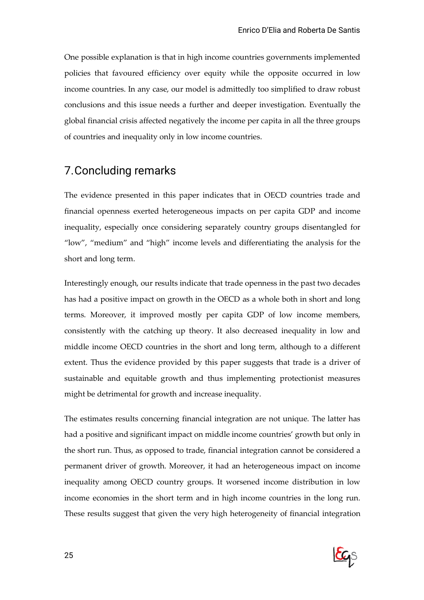One possible explanation is that in high income countries governments implemented policies that favoured efficiency over equity while the opposite occurred in low income countries. In any case, our model is admittedly too simplified to draw robust conclusions and this issue needs a further and deeper investigation. Eventually the global financial crisis affected negatively the income per capita in all the three groups of countries and inequality only in low income countries.

## 7.Concluding remarks

The evidence presented in this paper indicates that in OECD countries trade and financial openness exerted heterogeneous impacts on per capita GDP and income inequality, especially once considering separately country groups disentangled for "low", "medium" and "high" income levels and differentiating the analysis for the short and long term.

Interestingly enough, our results indicate that trade openness in the past two decades has had a positive impact on growth in the OECD as a whole both in short and long terms. Moreover, it improved mostly per capita GDP of low income members, consistently with the catching up theory. It also decreased inequality in low and middle income OECD countries in the short and long term, although to a different extent. Thus the evidence provided by this paper suggests that trade is a driver of sustainable and equitable growth and thus implementing protectionist measures might be detrimental for growth and increase inequality.

The estimates results concerning financial integration are not unique. The latter has had a positive and significant impact on middle income countries' growth but only in the short run. Thus, as opposed to trade, financial integration cannot be considered a permanent driver of growth. Moreover, it had an heterogeneous impact on income inequality among OECD country groups. It worsened income distribution in low income economies in the short term and in high income countries in the long run. These results suggest that given the very high heterogeneity of financial integration

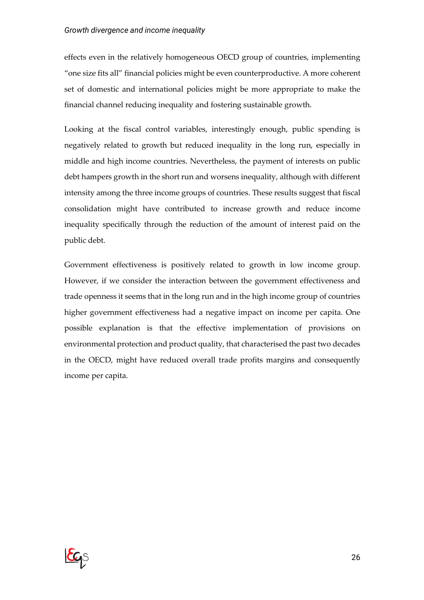#### *Growth divergence and income inequality*

effects even in the relatively homogeneous OECD group of countries, implementing "one size fits all" financial policies might be even counterproductive. A more coherent set of domestic and international policies might be more appropriate to make the financial channel reducing inequality and fostering sustainable growth.

Looking at the fiscal control variables, interestingly enough, public spending is negatively related to growth but reduced inequality in the long run, especially in middle and high income countries. Nevertheless, the payment of interests on public debt hampers growth in the short run and worsens inequality, although with different intensity among the three income groups of countries. These results suggest that fiscal consolidation might have contributed to increase growth and reduce income inequality specifically through the reduction of the amount of interest paid on the public debt.

Government effectiveness is positively related to growth in low income group. However, if we consider the interaction between the government effectiveness and trade openness it seems that in the long run and in the high income group of countries higher government effectiveness had a negative impact on income per capita. One possible explanation is that the effective implementation of provisions on environmental protection and product quality, that characterised the past two decades in the OECD, might have reduced overall trade profits margins and consequently income per capita.

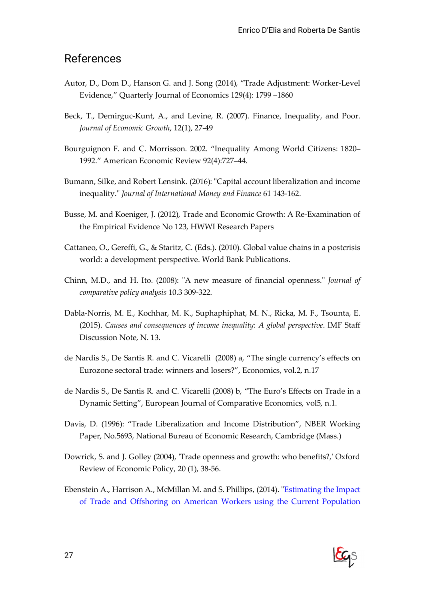### References

- Autor, D., Dom D., Hanson G. and J. Song (2014), "Trade Adjustment: Worker-Level Evidence," Quarterly Journal of Economics 129(4): 1799 –1860
- Beck, T., Demirguc-Kunt, A., and Levine, R. (2007). Finance, Inequality, and Poor. *Journal of Economic Growth*, 12(1), 27-49
- Bourguignon F. and C. Morrisson. 2002. "Inequality Among World Citizens: 1820– 1992." American Economic Review 92(4):727–44.
- Bumann, Silke, and Robert Lensink. (2016): "Capital account liberalization and income inequality." *Journal of International Money and Finance* 61 143-162.
- Busse, M. and Koeniger, J. (2012), Trade and Economic Growth: A Re-Examination of the Empirical Evidence No 123, HWWI Research Papers
- Cattaneo, O., Gereffi, G., & Staritz, C. (Eds.). (2010). Global value chains in a postcrisis world: a development perspective. World Bank Publications.
- Chinn, M.D., and H. Ito. (2008): "A new measure of financial openness." *Journal of comparative policy analysis* 10.3 309-322.
- Dabla-Norris, M. E., Kochhar, M. K., Suphaphiphat, M. N., Ricka, M. F., Tsounta, E. (2015). *Causes and consequences of income inequality: A global perspective*. IMF Staff Discussion Note, N. 13.
- de Nardis S., De Santis R. and C. Vicarelli (2008) a, "The single currency's effects on Eurozone sectoral trade: winners and losers?", Economics, vol.2, n.17
- de Nardis S., De Santis R. and C. Vicarelli (2008) b, "The Euro's Effects on Trade in a Dynamic Setting", European Journal of Comparative Economics, vol5, n.1.
- Davis, D. (1996): "Trade Liberalization and Income Distribution", NBER Working Paper, No.5693, National Bureau of Economic Research, Cambridge (Mass.)
- Dowrick, S. and J. Golley (2004), 'Trade openness and growth: who benefits?,' Oxford Review of Economic Policy, 20 (1), 38-56.
- Ebenstein A., Harrison A., McMillan M. and S. Phillips, (2014). "Estimating the Impact of Trade and Offshoring on American Workers using the Current Population

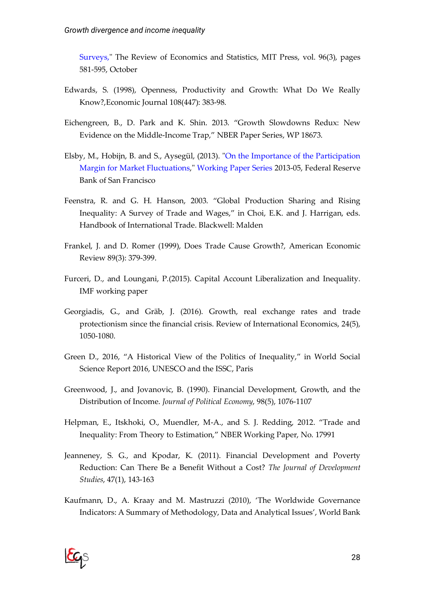Surveys," The Review of Economics and Statistics, MIT Press, vol. 96(3), pages 581-595, October

- Edwards, S. (1998), Openness, Productivity and Growth: What Do We Really Know?,Economic Journal 108(447): 383-98.
- Eichengreen, B., D. Park and K. Shin. 2013. "Growth Slowdowns Redux: New Evidence on the Middle-Income Trap," NBER Paper Series, WP 18673.
- Elsby, M., Hobijn, B. and S., Aysegül, (2013). "On the Importance of the Participation Margin for Market Fluctuations," Working Paper Series 2013-05, Federal Reserve Bank of San Francisco
- Feenstra, R. and G. H. Hanson, 2003. "Global Production Sharing and Rising Inequality: A Survey of Trade and Wages," in Choi, E.K. and J. Harrigan, eds. Handbook of International Trade. Blackwell: Malden
- Frankel, J. and D. Romer (1999), Does Trade Cause Growth?, American Economic Review 89(3): 379-399.
- Furceri, D., and Loungani, P.(2015). Capital Account Liberalization and Inequality. IMF working paper
- Georgiadis, G., and Gräb, J. (2016). Growth, real exchange rates and trade protectionism since the financial crisis. Review of International Economics, 24(5), 1050-1080.
- Green D., 2016, "A Historical View of the Politics of Inequality," in World Social Science Report 2016, UNESCO and the ISSC, Paris
- Greenwood, J., and Jovanovic, B. (1990). Financial Development, Growth, and the Distribution of Income. *Journal of Political Economy*, 98(5), 1076-1107
- Helpman, E., Itskhoki, O., Muendler, M-A., and S. J. Redding, 2012. "Trade and Inequality: From Theory to Estimation," NBER Working Paper, No. 17991
- Jeanneney, S. G., and Kpodar, K. (2011). Financial Development and Poverty Reduction: Can There Be a Benefit Without a Cost? *The Journal of Development Studies*, 47(1), 143-163
- Kaufmann, D., A. Kraay and M. Mastruzzi (2010), 'The Worldwide Governance Indicators: A Summary of Methodology, Data and Analytical Issues', World Bank

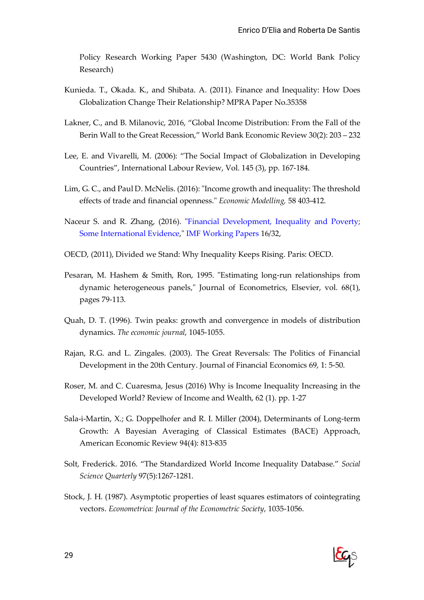Policy Research Working Paper 5430 (Washington, DC: World Bank Policy Research)

- Kunieda. T., Okada. K., and Shibata. A. (2011). Finance and Inequality: How Does Globalization Change Their Relationship? MPRA Paper No.35358
- Lakner, C., and B. Milanovic, 2016, "Global Income Distribution: From the Fall of the Berin Wall to the Great Recession," World Bank Economic Review 30(2): 203 – 232
- Lee, E. and Vivarelli, M. (2006): "The Social Impact of Globalization in Developing Countries", International Labour Review, Vol. 145 (3), pp. 167-184.
- Lim, G. C., and Paul D. McNelis. (2016): "Income growth and inequality: The threshold effects of trade and financial openness." *Economic Modelling,* 58 403-412.
- Naceur S. and R. Zhang, (2016). "Financial Development, Inequality and Poverty; Some International Evidence," IMF Working Papers 16/32,
- OECD, (2011), Divided we Stand: Why Inequality Keeps Rising. Paris: OECD.
- Pesaran, M. Hashem & Smith, Ron, 1995. "Estimating long-run relationships from dynamic heterogeneous panels," Journal of Econometrics, Elsevier, vol. 68(1), pages 79-113.
- Quah, D. T. (1996). Twin peaks: growth and convergence in models of distribution dynamics. *The economic journal*, 1045-1055.
- Rajan, R.G. and L. Zingales. (2003). The Great Reversals: The Politics of Financial Development in the 20th Century. Journal of Financial Economics 69, 1: 5-50.
- Roser, M. and C. Cuaresma, Jesus (2016) Why is Income Inequality Increasing in the Developed World? Review of Income and Wealth, 62 (1). pp. 1-27
- Sala-i-Martin, X.; G. Doppelhofer and R. I. Miller (2004), Determinants of Long-term Growth: A Bayesian Averaging of Classical Estimates (BACE) Approach, American Economic Review 94(4): 813-835
- Solt, Frederick. 2016. "The Standardized World Income Inequality Database." *Social Science Quarterly* 97(5):1267-1281.
- Stock, J. H. (1987). Asymptotic properties of least squares estimators of cointegrating vectors. *Econometrica: Journal of the Econometric Society*, 1035-1056.

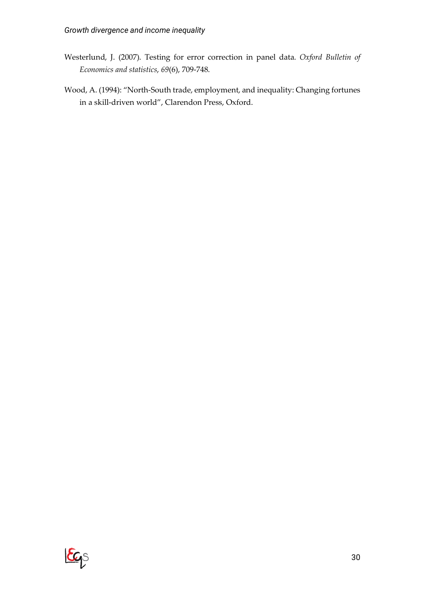- Westerlund, J. (2007). Testing for error correction in panel data. *Oxford Bulletin of Economics and statistics*, *69*(6), 709-748.
- Wood, A. (1994): "North-South trade, employment, and inequality: Changing fortunes in a skill-driven world", Clarendon Press, Oxford.

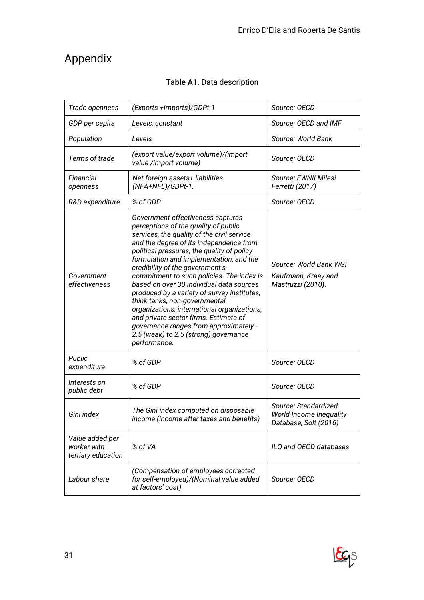## Appendix

| Trade openness                                       | (Exports +Imports)/GDPt-1                                                                                                                                                                                                                                                                                                                                                                                                                                                                                                                                                                                                                                          | Source: OECD                                                                    |
|------------------------------------------------------|--------------------------------------------------------------------------------------------------------------------------------------------------------------------------------------------------------------------------------------------------------------------------------------------------------------------------------------------------------------------------------------------------------------------------------------------------------------------------------------------------------------------------------------------------------------------------------------------------------------------------------------------------------------------|---------------------------------------------------------------------------------|
| GDP per capita                                       | Levels, constant                                                                                                                                                                                                                                                                                                                                                                                                                                                                                                                                                                                                                                                   | Source: OECD and IMF                                                            |
| Population                                           | Levels                                                                                                                                                                                                                                                                                                                                                                                                                                                                                                                                                                                                                                                             | Source: World Bank                                                              |
| Terms of trade                                       | (export value/export volume)/(import<br>value /import volume)                                                                                                                                                                                                                                                                                                                                                                                                                                                                                                                                                                                                      | Source: OECD                                                                    |
| Financial<br>openness                                | Net foreign assets+ liabilities<br>(NFA+NFL)/GDPt-1.                                                                                                                                                                                                                                                                                                                                                                                                                                                                                                                                                                                                               | Source: EWNII Milesi<br>Ferretti (2017)                                         |
| R&D expenditure                                      | % of GDP                                                                                                                                                                                                                                                                                                                                                                                                                                                                                                                                                                                                                                                           | Source: OECD                                                                    |
| Government<br>effectiveness                          | Government effectiveness captures<br>perceptions of the quality of public<br>services, the quality of the civil service<br>and the degree of its independence from<br>political pressures, the quality of policy<br>formulation and implementation, and the<br>credibility of the government's<br>commitment to such policies. The index is<br>based on over 30 individual data sources<br>produced by a variety of survey institutes,<br>think tanks, non-governmental<br>organizations, international organizations,<br>and private sector firms. Estimate of<br>governance ranges from approximately -<br>2.5 (weak) to 2.5 (strong) governance<br>performance. | Source: World Bank WGI<br>Kaufmann, Kraay and<br>Mastruzzi (2010).              |
| Public<br>expenditure                                | % of GDP                                                                                                                                                                                                                                                                                                                                                                                                                                                                                                                                                                                                                                                           | Source: OECD                                                                    |
| Interests on<br>public debt                          | % of GDP                                                                                                                                                                                                                                                                                                                                                                                                                                                                                                                                                                                                                                                           | Source: OECD                                                                    |
| Gini index                                           | The Gini index computed on disposable<br>income (income after taxes and benefits)                                                                                                                                                                                                                                                                                                                                                                                                                                                                                                                                                                                  | Source: Standardized<br><b>World Income Inequality</b><br>Database, Solt (2016) |
| Value added per<br>worker with<br>tertiary education | % of VA                                                                                                                                                                                                                                                                                                                                                                                                                                                                                                                                                                                                                                                            | ILO and OECD databases                                                          |
| Labour share                                         | (Compensation of employees corrected<br>for self-employed)/(Nominal value added<br>at factors' cost)                                                                                                                                                                                                                                                                                                                                                                                                                                                                                                                                                               | Source: OECD                                                                    |

#### Table A1. Data description

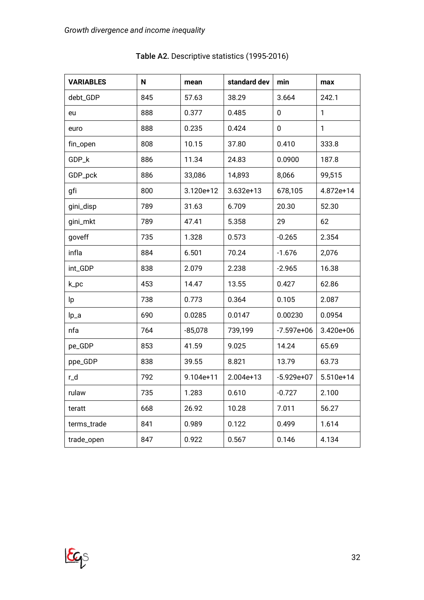| <b>VARIABLES</b> | N   | mean        | standard dev | min          | max       |
|------------------|-----|-------------|--------------|--------------|-----------|
| debt_GDP         | 845 | 57.63       | 38.29        | 3.664        | 242.1     |
| eu               | 888 | 0.377       | 0.485        | 0            | 1         |
| euro             | 888 | 0.235       | 0.424        | 0            | 1         |
| fin_open         | 808 | 10.15       | 37.80        | 0.410        | 333.8     |
| GDP_k            | 886 | 11.34       | 24.83        | 0.0900       | 187.8     |
| GDP_pck          | 886 | 33,086      | 14,893       | 8,066        | 99,515    |
| gfi              | 800 | 3.120e+12   | $3.632e+13$  | 678,105      | 4.872e+14 |
| gini_disp        | 789 | 31.63       | 6.709        | 20.30        | 52.30     |
| gini_mkt         | 789 | 47.41       | 5.358        | 29           | 62        |
| goveff           | 735 | 1.328       | 0.573        | $-0.265$     | 2.354     |
| infla            | 884 | 6.501       | 70.24        | $-1.676$     | 2,076     |
| int_GDP          | 838 | 2.079       | 2.238        | $-2.965$     | 16.38     |
| k_pc             | 453 | 14.47       | 13.55        | 0.427        | 62.86     |
| lp.              | 738 | 0.773       | 0.364        | 0.105        | 2.087     |
| lp_a             | 690 | 0.0285      | 0.0147       | 0.00230      | 0.0954    |
| nfa              | 764 | $-85,078$   | 739,199      | $-7.597e+06$ | 3.420e+06 |
| pe_GDP           | 853 | 41.59       | 9.025        | 14.24        | 65.69     |
| ppe_GDP          | 838 | 39.55       | 8.821        | 13.79        | 63.73     |
| r_d              | 792 | $9.104e+11$ | $2.004e+13$  | $-5.929e+07$ | 5.510e+14 |
| rulaw            | 735 | 1.283       | 0.610        | $-0.727$     | 2.100     |
| teratt           | 668 | 26.92       | 10.28        | 7.011        | 56.27     |
| terms_trade      | 841 | 0.989       | 0.122        | 0.499        | 1.614     |
| trade_open       | 847 | 0.922       | 0.567        | 0.146        | 4.134     |

Table A2. Descriptive statistics (1995-2016)

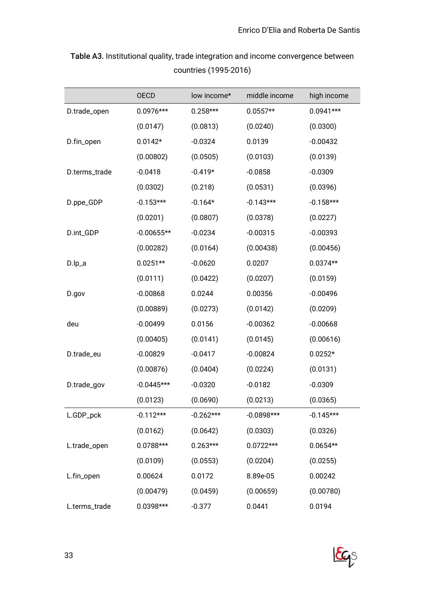|               | OECD         | low income* | middle income | high income |
|---------------|--------------|-------------|---------------|-------------|
| D.trade_open  | $0.0976***$  | $0.258***$  | $0.0557**$    | $0.0941***$ |
|               | (0.0147)     | (0.0813)    | (0.0240)      | (0.0300)    |
| D.fin_open    | $0.0142*$    | $-0.0324$   | 0.0139        | $-0.00432$  |
|               | (0.00802)    | (0.0505)    | (0.0103)      | (0.0139)    |
| D.terms_trade | $-0.0418$    | $-0.419*$   | $-0.0858$     | $-0.0309$   |
|               | (0.0302)     | (0.218)     | (0.0531)      | (0.0396)    |
| D.ppe_GDP     | $-0.153***$  | $-0.164*$   | $-0.143***$   | $-0.158***$ |
|               | (0.0201)     | (0.0807)    | (0.0378)      | (0.0227)    |
| D.int_GDP     | $-0.00655**$ | $-0.0234$   | $-0.00315$    | $-0.00393$  |
|               | (0.00282)    | (0.0164)    | (0.00438)     | (0.00456)   |
| D.lp_a        | $0.0251**$   | $-0.0620$   | 0.0207        | $0.0374**$  |
|               | (0.0111)     | (0.0422)    | (0.0207)      | (0.0159)    |
| D.gov         | $-0.00868$   | 0.0244      | 0.00356       | $-0.00496$  |
|               | (0.00889)    | (0.0273)    | (0.0142)      | (0.0209)    |
| deu           | $-0.00499$   | 0.0156      | $-0.00362$    | $-0.00668$  |
|               | (0.00405)    | (0.0141)    | (0.0145)      | (0.00616)   |
| D.trade_eu    | $-0.00829$   | $-0.0417$   | $-0.00824$    | $0.0252*$   |
|               | (0.00876)    | (0.0404)    | (0.0224)      | (0.0131)    |
| D.trade_gov   | $-0.0445***$ | $-0.0320$   | $-0.0182$     | $-0.0309$   |
|               | (0.0123)     | (0.0690)    | (0.0213)      | (0.0365)    |
| L.GDP_pck     | $-0.112***$  | $-0.262***$ | $-0.0898***$  | $-0.145***$ |
|               | (0.0162)     | (0.0642)    | (0.0303)      | (0.0326)    |
| L.trade_open  | 0.0788***    | $0.263***$  | $0.0722***$   | $0.0654**$  |
|               | (0.0109)     | (0.0553)    | (0.0204)      | (0.0255)    |
| L.fin_open    | 0.00624      | 0.0172      | 8.89e-05      | 0.00242     |
|               | (0.00479)    | (0.0459)    | (0.00659)     | (0.00780)   |
| L.terms_trade | 0.0398***    | $-0.377$    | 0.0441        | 0.0194      |

Table A3. Institutional quality, trade integration and income convergence between countries (1995-2016)

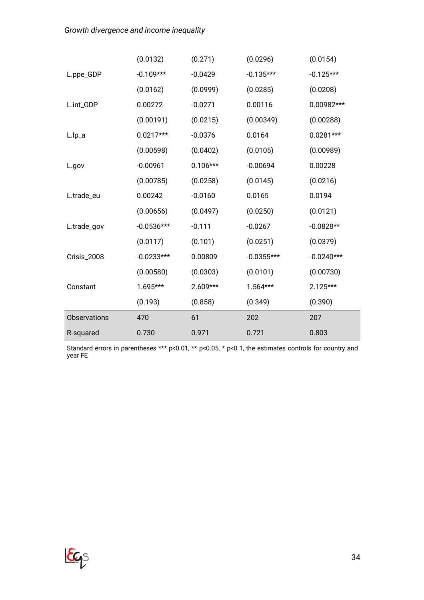*Growth divergence and income inequality*

|                     | (0.0132)     | (0.271)    | (0.0296)     | (0.0154)     |
|---------------------|--------------|------------|--------------|--------------|
| L.ppe_GDP           | $-0.109***$  | $-0.0429$  | $-0.135***$  | $-0.125***$  |
|                     | (0.0162)     | (0.0999)   | (0.0285)     | (0.0208)     |
| L.int_GDP           | 0.00272      | $-0.0271$  | 0.00116      | 0.00982***   |
|                     | (0.00191)    | (0.0215)   | (0.00349)    | (0.00288)    |
| L.lp_a              | $0.0217***$  | $-0.0376$  | 0.0164       | $0.0281***$  |
|                     | (0.00598)    | (0.0402)   | (0.0105)     | (0.00989)    |
| L.gov               | $-0.00961$   | $0.106***$ | $-0.00694$   | 0.00228      |
|                     | (0.00785)    | (0.0258)   | (0.0145)     | (0.0216)     |
| L.trade_eu          | 0.00242      | $-0.0160$  | 0.0165       | 0.0194       |
|                     | (0.00656)    | (0.0497)   | (0.0250)     | (0.0121)     |
| L.trade_gov         | $-0.0536***$ | $-0.111$   | $-0.0267$    | $-0.0828**$  |
|                     | (0.0117)     | (0.101)    | (0.0251)     | (0.0379)     |
| Crisis_2008         | $-0.0233***$ | 0.00809    | $-0.0355***$ | $-0.0240***$ |
|                     | (0.00580)    | (0.0303)   | (0.0101)     | (0.00730)    |
| Constant            | $1.695***$   | 2.609***   | $1.564***$   | $2.125***$   |
|                     | (0.193)      | (0.858)    | (0.349)      | (0.390)      |
| <b>Observations</b> | 470          | 61         | 202          | 207          |
| R-squared           | 0.730        | 0.971      | 0.721        | 0.803        |

Standard errors in parentheses \*\*\* p<0.01, \*\* p<0.05, \* p<0.1, the estimates controls for country and year FE



34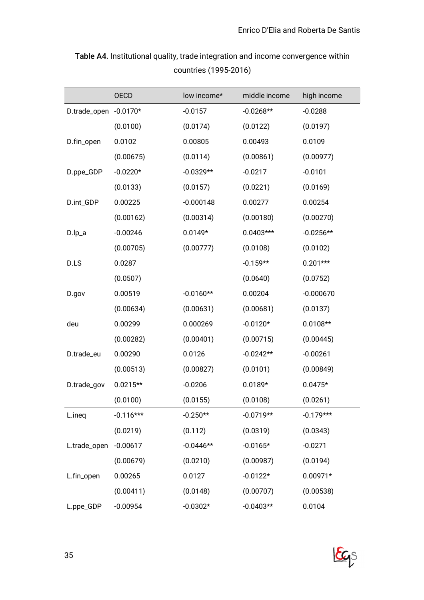|                       | <b>OECD</b> | low income* | middle income | high income |
|-----------------------|-------------|-------------|---------------|-------------|
| D.trade_open -0.0170* |             | $-0.0157$   | $-0.0268**$   | $-0.0288$   |
|                       | (0.0100)    | (0.0174)    | (0.0122)      | (0.0197)    |
| D.fin_open            | 0.0102      | 0.00805     | 0.00493       | 0.0109      |
|                       | (0.00675)   | (0.0114)    | (0.00861)     | (0.00977)   |
| D.ppe_GDP             | $-0.0220*$  | $-0.0329**$ | $-0.0217$     | $-0.0101$   |
|                       | (0.0133)    | (0.0157)    | (0.0221)      | (0.0169)    |
| D.int_GDP             | 0.00225     | $-0.000148$ | 0.00277       | 0.00254     |
|                       | (0.00162)   | (0.00314)   | (0.00180)     | (0.00270)   |
| $D.lp_a$              | $-0.00246$  | $0.0149*$   | $0.0403***$   | $-0.0256**$ |
|                       | (0.00705)   | (0.00777)   | (0.0108)      | (0.0102)    |
| D.LS                  | 0.0287      |             | $-0.159**$    | $0.201***$  |
|                       | (0.0507)    |             | (0.0640)      | (0.0752)    |
| D.gov                 | 0.00519     | $-0.0160**$ | 0.00204       | $-0.000670$ |
|                       | (0.00634)   | (0.00631)   | (0.00681)     | (0.0137)    |
| deu                   | 0.00299     | 0.000269    | $-0.0120*$    | $0.0108**$  |
|                       | (0.00282)   | (0.00401)   | (0.00715)     | (0.00445)   |
| D.trade_eu            | 0.00290     | 0.0126      | $-0.0242**$   | $-0.00261$  |
|                       | (0.00513)   | (0.00827)   | (0.0101)      | (0.00849)   |
| D.trade_gov           | $0.0215**$  | $-0.0206$   | $0.0189*$     | $0.0475*$   |
|                       | (0.0100)    | (0.0155)    | (0.0108)      | (0.0261)    |
| L.ineq                | $-0.116***$ | $-0.250**$  | $-0.0719**$   | $-0.179***$ |
|                       | (0.0219)    | (0.112)     | (0.0319)      | (0.0343)    |
| L.trade_open          | $-0.00617$  | $-0.0446**$ | $-0.0165*$    | $-0.0271$   |
|                       | (0.00679)   | (0.0210)    | (0.00987)     | (0.0194)    |
| L.fin_open            | 0.00265     | 0.0127      | $-0.0122*$    | $0.00971*$  |
|                       | (0.00411)   | (0.0148)    | (0.00707)     | (0.00538)   |
| L.ppe_GDP             | $-0.00954$  | $-0.0302*$  | $-0.0403**$   | 0.0104      |

Table A4. Institutional quality, trade integration and income convergence within countries (1995-2016)

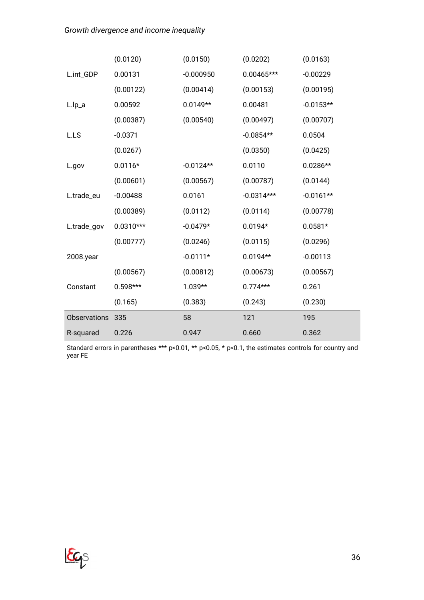|                     | (0.0120)    | (0.0150)    | (0.0202)     | (0.0163)    |
|---------------------|-------------|-------------|--------------|-------------|
| L.int_GDP           | 0.00131     | $-0.000950$ | 0.00465***   | $-0.00229$  |
|                     | (0.00122)   | (0.00414)   | (0.00153)    | (0.00195)   |
| $L.lp_a$            | 0.00592     | $0.0149**$  | 0.00481      | $-0.0153**$ |
|                     | (0.00387)   | (0.00540)   | (0.00497)    | (0.00707)   |
| L.LS                | $-0.0371$   |             | $-0.0854**$  | 0.0504      |
|                     | (0.0267)    |             | (0.0350)     | (0.0425)    |
| L.gov               | $0.0116*$   | $-0.0124**$ | 0.0110       | $0.0286**$  |
|                     | (0.00601)   | (0.00567)   | (0.00787)    | (0.0144)    |
| L.trade_eu          | $-0.00488$  | 0.0161      | $-0.0314***$ | $-0.0161**$ |
|                     | (0.00389)   | (0.0112)    | (0.0114)     | (0.00778)   |
| L.trade_gov         | $0.0310***$ | $-0.0479*$  | $0.0194*$    | $0.0581*$   |
|                     | (0.00777)   | (0.0246)    | (0.0115)     | (0.0296)    |
| 2008.year           |             | $-0.0111*$  | $0.0194**$   | $-0.00113$  |
|                     | (0.00567)   | (0.00812)   | (0.00673)    | (0.00567)   |
| Constant            | $0.598***$  | $1.039**$   | $0.774***$   | 0.261       |
|                     | (0.165)     | (0.383)     | (0.243)      | (0.230)     |
| <b>Observations</b> | 335         | 58          | 121          | 195         |
| R-squared           | 0.226       | 0.947       | 0.660        | 0.362       |

Standard errors in parentheses \*\*\* p<0.01, \*\* p<0.05, \* p<0.1, the estimates controls for country and year FE

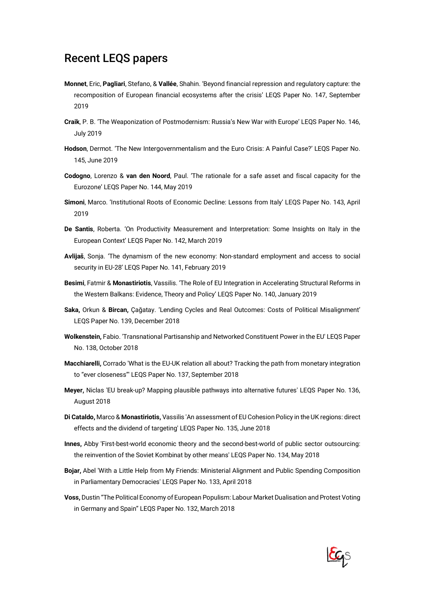## Recent LEQS papers

- **Monnet**, Eric, **Pagliari**, Stefano, & **Vallée**, Shahin. 'Beyond financial repression and regulatory capture: the recomposition of European financial ecosystems after the crisis' LEQS Paper No. 147, September 2019
- **Craik**, P. B. 'The Weaponization of Postmodernism: Russia's New War with Europe' LEQS Paper No. 146, July 2019
- **Hodson**, Dermot. 'The New Intergovernmentalism and the Euro Crisis: A Painful Case?' LEQS Paper No. 145, June 2019
- **Codogno**, Lorenzo & **van den Noord**, Paul. 'The rationale for a safe asset and fiscal capacity for the Eurozone' LEQS Paper No. 144, May 2019
- **Simoni**, Marco. 'Institutional Roots of Economic Decline: Lessons from Italy' LEQS Paper No. 143, April 2019
- **De Santis**, Roberta. 'On Productivity Measurement and Interpretation: Some Insights on Italy in the European Context' LEQS Paper No. 142, March 2019
- **Avlijaš**, Sonja. 'The dynamism of the new economy: Non-standard employment and access to social security in EU-28' LEQS Paper No. 141, February 2019
- **Besimi**, Fatmir & **Monastiriotis**, Vassilis. 'The Role of EU Integration in Accelerating Structural Reforms in the Western Balkans: Evidence, Theory and Policy' LEQS Paper No. 140, January 2019
- **Saka,** Orkun & **Bircan,** Çağatay. 'Lending Cycles and Real Outcomes: Costs of Political Misalignment' LEQS Paper No. 139, December 2018
- **Wolkenstein,** Fabio. 'Transnational Partisanship and Networked Constituent Power in the EU' LEQS Paper No. 138, October 2018
- **Macchiarelli,** Corrado 'What is the EU-UK relation all about? Tracking the path from monetary integration to "ever closeness"' LEQS Paper No. 137, September 2018
- **Meyer,** Niclas 'EU break-up? Mapping plausible pathways into alternative futures' LEQS Paper No. 136, August 2018
- **Di Cataldo,** Marco & **Monastiriotis,** Vassilis 'An assessment of EU Cohesion Policy in the UK regions: direct effects and the dividend of targeting' LEQS Paper No. 135, June 2018
- **Innes,** Abby 'First-best-world economic theory and the second-best-world of public sector outsourcing: the reinvention of the Soviet Kombinat by other means' LEQS Paper No. 134, May 2018
- **Bojar,** Abel 'With a Little Help from My Friends: Ministerial Alignment and Public Spending Composition in Parliamentary Democracies' LEQS Paper No. 133, April 2018
- **Voss,** Dustin "The Political Economy of European Populism: Labour Market Dualisation and Protest Voting in Germany and Spain" LEQS Paper No. 132, March 2018